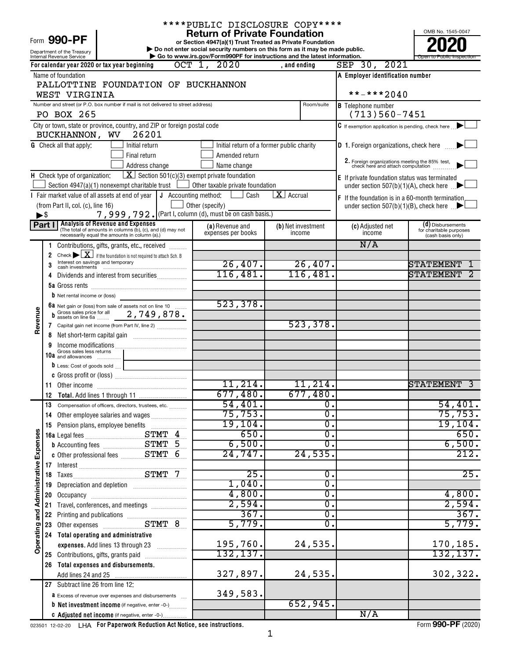Form 990-PF

# \*\*\*\*PUBLIC DISCLOSURE COPY\*\*\*\*

**or Section 4947(a)(1) Trust Treated as Private Foundation | Do not enter social security numbers on this form as it may be made public. POOPR**<br> **EXECUTER SECUTE AND SOLUTE SECUTE AND SECUTE AND SECUTE AND SECUTE AND SECUTE AND SECUTE AND SECUTE AND SECUTE A<br>
<b>POOPER SECUTE AND SOLUTE AND SOLUTE AND SOLUTE AND SECUTE AND SOLUTE AND SOLUTE AND SOLUTE AND SE** 

OMB No. 1545-0047 Internal Revenue Service **Internal Revenue Service Concernation** Go to www.irs.gov/Form990PF for instructions and the latest information.

|                                       |                          | Department of the Treasury           |                                                                                                                                                 | Do not enter social security numbers on this form as it may be made public.                  |                    |                  |                                                                                  | LULU                                         |
|---------------------------------------|--------------------------|--------------------------------------|-------------------------------------------------------------------------------------------------------------------------------------------------|----------------------------------------------------------------------------------------------|--------------------|------------------|----------------------------------------------------------------------------------|----------------------------------------------|
|                                       |                          | Internal Revenue Service             | For calendar year 2020 or tax year beginning                                                                                                    | Go to www.irs.gov/Form990PF for instructions and the latest information.<br>$OCT$ 1,<br>2020 | , and ending       |                  | 2021<br>$SEP$ 30,                                                                | Open to Public Inspection                    |
|                                       |                          | Name of foundation                   |                                                                                                                                                 |                                                                                              |                    |                  | A Employer identification number                                                 |                                              |
|                                       |                          |                                      | PALLOTTINE FOUNDATION OF BUCKHANNON                                                                                                             |                                                                                              |                    |                  |                                                                                  |                                              |
|                                       |                          | WEST VIRGINIA                        |                                                                                                                                                 |                                                                                              |                    |                  | **-***2040                                                                       |                                              |
|                                       |                          |                                      | Number and street (or P.O. box number if mail is not delivered to street address)                                                               |                                                                                              |                    | Room/suite       | <b>B</b> Telephone number                                                        |                                              |
|                                       |                          | PO BOX 265                           |                                                                                                                                                 |                                                                                              |                    |                  | $(713)560 - 7451$                                                                |                                              |
|                                       |                          | BUCKHANNON, WV                       | City or town, state or province, country, and ZIP or foreign postal code<br>26201                                                               |                                                                                              |                    |                  | $\mathbf C$ If exemption application is pending, check here                      |                                              |
|                                       |                          | <b>G</b> Check all that apply:       | Initial return                                                                                                                                  | Initial return of a former public charity                                                    |                    |                  | <b>D</b> 1. Foreign organizations, check here                                    |                                              |
|                                       |                          |                                      | Final return                                                                                                                                    | Amended return                                                                               |                    |                  |                                                                                  |                                              |
|                                       |                          |                                      | Address change                                                                                                                                  | Name change                                                                                  |                    |                  | 2. Foreign organizations meeting the 85% test, check here and attach computation |                                              |
|                                       |                          | H Check type of organization:        |                                                                                                                                                 | $\boxed{\textbf{X}}$ Section 501(c)(3) exempt private foundation                             |                    |                  | E If private foundation status was terminated                                    |                                              |
|                                       |                          |                                      | Section $4947(a)(1)$ nonexempt charitable trust                                                                                                 | Other taxable private foundation                                                             |                    |                  | under section 507(b)(1)(A), check here $\Box$                                    |                                              |
|                                       |                          | (from Part II, col. (c), line 16)    | I Fair market value of all assets at end of year   J Accounting method:                                                                         | Cash<br>$\mathbf{I}$                                                                         | X Accrual          |                  | F If the foundation is in a 60-month termination                                 |                                              |
|                                       | $\blacktriangleright$ \$ |                                      |                                                                                                                                                 | Other (specify)<br>7,999,792. (Part I, column (d), must be on cash basis.)                   |                    |                  | under section 507(b)(1)(B), check here $\Box$                                    |                                              |
|                                       | Part I                   |                                      |                                                                                                                                                 | (a) Revenue and                                                                              | (b) Net investment |                  | (c) Adjusted net                                                                 | (d) Disbursements                            |
|                                       |                          |                                      | Analysis of Revenue and Expenses<br>(The total of amounts in columns (b), (c), and (d) may not<br>necessarily equal the amounts in column (a).) | expenses per books                                                                           | income             |                  | income                                                                           | for charitable purposes<br>(cash basis only) |
|                                       |                          |                                      | Contributions, gifts, grants, etc., received                                                                                                    |                                                                                              |                    |                  | N/A                                                                              |                                              |
|                                       | $\overline{2}$           |                                      | Check $\blacktriangleright \boxed{\mathbf{X}}$ if the foundation is not required to attach Sch. B                                               |                                                                                              |                    |                  |                                                                                  |                                              |
|                                       | 3                        |                                      |                                                                                                                                                 | 26,407.                                                                                      |                    | 26,407.          |                                                                                  | STATEMENT                                    |
|                                       | 4                        |                                      | Dividends and interest from securities                                                                                                          | 116,481.                                                                                     |                    | 116,481.         |                                                                                  | <b>STATEMENT</b>                             |
|                                       |                          |                                      |                                                                                                                                                 |                                                                                              |                    |                  |                                                                                  |                                              |
|                                       |                          | <b>b</b> Net rental income or (loss) |                                                                                                                                                 |                                                                                              |                    |                  |                                                                                  |                                              |
|                                       |                          |                                      | 6a Net gain or (loss) from sale of assets not on line 10                                                                                        | 523, 378.                                                                                    |                    |                  |                                                                                  |                                              |
| Revenue                               | b                        |                                      | Capital gain net income (from Part IV, line 2)                                                                                                  |                                                                                              |                    | 523, 378.        |                                                                                  |                                              |
|                                       | 7<br>8                   |                                      |                                                                                                                                                 |                                                                                              |                    |                  |                                                                                  |                                              |
|                                       | 9                        |                                      |                                                                                                                                                 |                                                                                              |                    |                  |                                                                                  |                                              |
|                                       |                          | 10a Gross sales less returns         |                                                                                                                                                 |                                                                                              |                    |                  |                                                                                  |                                              |
|                                       |                          |                                      | D Less: Cost of goods sold                                                                                                                      |                                                                                              |                    |                  |                                                                                  |                                              |
|                                       |                          |                                      |                                                                                                                                                 |                                                                                              |                    |                  |                                                                                  |                                              |
|                                       |                          |                                      |                                                                                                                                                 | 11,214.                                                                                      |                    | 11,214.          |                                                                                  | <b>STATEMENT</b>                             |
|                                       | 12                       |                                      |                                                                                                                                                 | 677,480.                                                                                     |                    | 677,480.         |                                                                                  |                                              |
|                                       | 13                       |                                      | Compensation of officers, directors, trustees, etc.                                                                                             | 54,401.                                                                                      |                    | $\overline{0}$ . |                                                                                  | 54,401.                                      |
|                                       |                          |                                      | 14 Other employee salaries and wages                                                                                                            | 75, 753.<br>19, 104.                                                                         |                    | $\overline{0}$ . |                                                                                  | 75,753.<br>19, 104.                          |
|                                       |                          |                                      | 15 Pension plans, employee benefits                                                                                                             | 650.                                                                                         |                    | 0.<br>σ.         |                                                                                  | 650.                                         |
|                                       |                          |                                      | STMT 4                                                                                                                                          | 6,500.                                                                                       |                    | σ.               |                                                                                  | 6,500.                                       |
|                                       |                          |                                      |                                                                                                                                                 | 24,747.                                                                                      |                    | 24,535.          |                                                                                  | 212.                                         |
|                                       | 17                       |                                      |                                                                                                                                                 |                                                                                              |                    |                  |                                                                                  |                                              |
|                                       | 18                       |                                      |                                                                                                                                                 | 25.                                                                                          |                    | 0.               |                                                                                  | 25.                                          |
|                                       | 19                       |                                      |                                                                                                                                                 | 1,040.                                                                                       |                    | σ.               |                                                                                  |                                              |
|                                       | 20                       |                                      |                                                                                                                                                 | 4,800.                                                                                       |                    | 0.               |                                                                                  | 4,800.                                       |
|                                       | 21                       |                                      | Travel, conferences, and meetings                                                                                                               | 2,594.                                                                                       |                    | 0.               |                                                                                  | 2,594.                                       |
|                                       | 22                       |                                      |                                                                                                                                                 | 367.                                                                                         |                    | $\overline{0}$ . |                                                                                  | 367.                                         |
|                                       | 23                       |                                      |                                                                                                                                                 | 5,779.                                                                                       |                    | $\overline{0}$ . |                                                                                  | 5,779.                                       |
| Operating and Administrative Expenses |                          |                                      | 24 Total operating and administrative                                                                                                           | 195,760.                                                                                     |                    | 24,535.          |                                                                                  | 170,185.                                     |
|                                       |                          |                                      | expenses. Add lines 13 through 23<br>25 Contributions, gifts, grants paid                                                                       | 132,137.                                                                                     |                    |                  |                                                                                  | 132,137.                                     |
|                                       |                          |                                      | 26 Total expenses and disbursements.                                                                                                            |                                                                                              |                    |                  |                                                                                  |                                              |
|                                       |                          |                                      |                                                                                                                                                 | 327,897.                                                                                     |                    | 24,535.          |                                                                                  | 302,322.                                     |
|                                       |                          | 27 Subtract line 26 from line 12:    |                                                                                                                                                 |                                                                                              |                    |                  |                                                                                  |                                              |
|                                       |                          |                                      | <b>a</b> Excess of revenue over expenses and disbursements                                                                                      | 349,583.                                                                                     |                    |                  |                                                                                  |                                              |
|                                       |                          |                                      | <b>b</b> Net investment income (if negative, enter -0-)                                                                                         |                                                                                              |                    | 652,945.         |                                                                                  |                                              |
|                                       |                          |                                      | C Adjusted net income (if negative, enter -0-)                                                                                                  |                                                                                              |                    |                  | N/A                                                                              |                                              |

023501 12-02-20 **For Paperwork Reduction Act Notice, see instructions.** LHA Form (2020)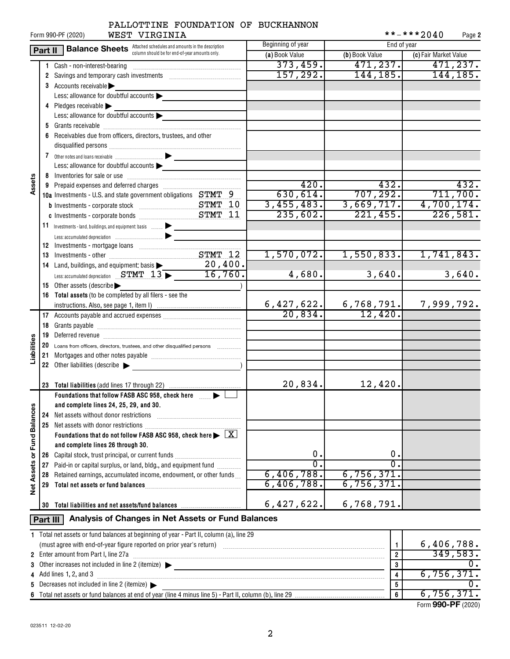# PALLOTTINE FOUNDATION OF BUCKHANNON

|                      |          | WEST VIRGINIA<br>Form 990-PF (2020)                                                                                                                  |                                                                                                 |                  | **-***2040<br>Page 2  |
|----------------------|----------|------------------------------------------------------------------------------------------------------------------------------------------------------|-------------------------------------------------------------------------------------------------|------------------|-----------------------|
|                      | Part II  | <b>Balance Sheets</b> Attached schedules and amounts in the description                                                                              | Beginning of year                                                                               | End of year      |                       |
|                      |          | column should be for end-of-year amounts only.                                                                                                       | (a) Book Value                                                                                  | (b) Book Value   | (c) Fair Market Value |
|                      |          |                                                                                                                                                      | 373,459.                                                                                        | 471, 237.        | 471, 237.             |
|                      |          | 2 Savings and temporary cash investments [111][11] Savings and temporary cash investments                                                            | 157, 292.                                                                                       | 144,185.         | 144, 185.             |
|                      |          | 3 Accounts receivable                                                                                                                                |                                                                                                 |                  |                       |
|                      |          | Less: allowance for doubtful accounts                                                                                                                |                                                                                                 |                  |                       |
|                      |          | 4 Pledges receivable                                                                                                                                 |                                                                                                 |                  |                       |
|                      |          | Less: allowance for doubtful accounts                                                                                                                |                                                                                                 |                  |                       |
|                      |          |                                                                                                                                                      |                                                                                                 |                  |                       |
|                      |          | 6 Receivables due from officers, directors, trustees, and other                                                                                      |                                                                                                 |                  |                       |
|                      |          |                                                                                                                                                      |                                                                                                 |                  |                       |
|                      |          |                                                                                                                                                      |                                                                                                 |                  |                       |
|                      |          | Less: allowance for doubtful accounts                                                                                                                |                                                                                                 |                  |                       |
|                      |          |                                                                                                                                                      |                                                                                                 |                  |                       |
| Assets               |          |                                                                                                                                                      | 420.                                                                                            | 432.             | 432.                  |
|                      |          | 9 Prepaid expenses and deferred charges [11] Prepaid expenses and deferred charges<br>10a Investments - U.S. and state government obligations STMT 9 | 630,614.                                                                                        | 707, 292.        | 711,700.              |
|                      |          |                                                                                                                                                      | 3,455,483.                                                                                      | 3,669,717.       | 4,700,174.            |
|                      |          |                                                                                                                                                      | 235,602.                                                                                        | 221,455.         | 226,581.              |
|                      |          |                                                                                                                                                      |                                                                                                 |                  |                       |
|                      |          | 11 Investments - land, buildings, and equipment: basis                                                                                               |                                                                                                 |                  |                       |
|                      |          |                                                                                                                                                      |                                                                                                 |                  |                       |
|                      |          |                                                                                                                                                      |                                                                                                 |                  |                       |
|                      |          | 13 Investments - other Manuscritt, STMT 12                                                                                                           | 1,570,072.                                                                                      | 1,550,833.       | 1,741,843.            |
|                      |          | 14 Land, buildings, and equipment: basis ><br>20, 400.                                                                                               |                                                                                                 |                  |                       |
|                      |          | Less: accumulated depreciation STMT 13 > 16,760.                                                                                                     | 4,680.                                                                                          | 3,640.           | 3,640.                |
|                      |          | 15 Other assets (describe                                                                                                                            |                                                                                                 |                  |                       |
|                      |          | 16 Total assets (to be completed by all filers - see the                                                                                             |                                                                                                 |                  |                       |
|                      |          |                                                                                                                                                      | 6,427,622.                                                                                      | 6,768,791.       | 7,999,792.            |
|                      |          |                                                                                                                                                      | 20,834.                                                                                         | 12,420.          |                       |
|                      |          |                                                                                                                                                      |                                                                                                 |                  |                       |
|                      |          |                                                                                                                                                      |                                                                                                 |                  |                       |
| Liabilities          |          | 20 Loans from officers, directors, trustees, and other disqualified persons                                                                          |                                                                                                 |                  |                       |
|                      | 21       |                                                                                                                                                      |                                                                                                 |                  |                       |
|                      |          | 22 Other liabilities (describe                                                                                                                       |                                                                                                 |                  |                       |
|                      |          |                                                                                                                                                      |                                                                                                 |                  |                       |
|                      |          |                                                                                                                                                      | 20,834.                                                                                         | 12,420.          |                       |
|                      |          | Foundations that follow FASB ASC 958, check here <b>Fig.</b>                                                                                         |                                                                                                 |                  |                       |
|                      |          | and complete lines 24, 25, 29, and 30.                                                                                                               |                                                                                                 |                  |                       |
|                      | 24       | Net assets without donor restrictions                                                                                                                |                                                                                                 |                  |                       |
| <b>Fund Balances</b> |          |                                                                                                                                                      |                                                                                                 |                  |                       |
|                      |          | Foundations that do not follow FASB ASC 958, check here $\blacktriangleright \boxed{\text{X}}$                                                       |                                                                                                 |                  |                       |
|                      |          | and complete lines 26 through 30.                                                                                                                    |                                                                                                 |                  |                       |
| ð                    |          | 26 Capital stock, trust principal, or current funds                                                                                                  | 0.                                                                                              | о.               |                       |
|                      | 27       | Paid-in or capital surplus, or land, bldg., and equipment fund <i>minimity</i>                                                                       | $\overline{0}$ .                                                                                | σ.               |                       |
| <b>Net Assets</b>    | 28       | Retained earnings, accumulated income, endowment, or other funds                                                                                     | 6,406,788.                                                                                      | 6,756,371.       |                       |
|                      | 29       |                                                                                                                                                      | 6,406,788.                                                                                      | 6,756,371.       |                       |
|                      |          |                                                                                                                                                      |                                                                                                 |                  |                       |
|                      |          | 30 Total liabilities and net assets/fund balances                                                                                                    | 6,427,622.                                                                                      | 6,768,791.       |                       |
|                      |          |                                                                                                                                                      |                                                                                                 |                  |                       |
|                      | Part III | Analysis of Changes in Net Assets or Fund Balances                                                                                                   |                                                                                                 |                  |                       |
|                      |          | 1 Total net assets or fund balances at beginning of year - Part II, column (a), line 29                                                              |                                                                                                 |                  |                       |
|                      |          |                                                                                                                                                      |                                                                                                 |                  | 6,406,788.            |
|                      |          | 2 Enter amount from Part I, line 27a                                                                                                                 | $\overline{2}$                                                                                  | 349,583.         |                       |
| 3                    |          | Other increases not included in line 2 (itemize) $\blacktriangleright$                                                                               | the contract of the contract of the contract of the contract of the contract of the contract of | 3                | 0.                    |
| 4                    |          | Add lines 1, 2, and 3                                                                                                                                |                                                                                                 | 4                | 6,756,371.            |
| 5                    |          | Decreases not included in line 2 (itemize)                                                                                                           |                                                                                                 | 5                | 0.                    |
|                      |          |                                                                                                                                                      |                                                                                                 | $\boldsymbol{6}$ | 6,756,371.            |

| (must agree with end-of-year figure reported on prior year's return)                                    | 6,406,788. |
|---------------------------------------------------------------------------------------------------------|------------|
| 2 Enter amount from Part I, line 27a                                                                    |            |
| 3 Other increases not included in line 2 (itemize) $\blacktriangleright$                                |            |
| 4 Add lines 1, 2, and 3                                                                                 |            |
| 5 Decreases not included in line 2 (itemize) $\blacktriangleright$                                      |            |
| 6 Total net assets or fund balances at end of year (line 4 minus line 5) - Part II, column (b), line 29 |            |
|                                                                                                         |            |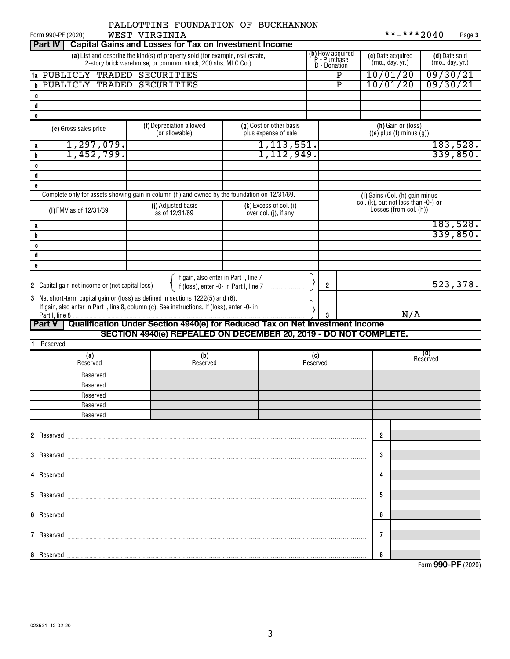| WEST VIRGINIA<br>Form 990-PF (2020)                                                                                                                                                                                                | PALLOTTINE FOUNDATION OF BUCKHANNON                                             |                                                 |            |                     |                                                  |                                                                          | **-***2040 | Page 3                           |
|------------------------------------------------------------------------------------------------------------------------------------------------------------------------------------------------------------------------------------|---------------------------------------------------------------------------------|-------------------------------------------------|------------|---------------------|--------------------------------------------------|--------------------------------------------------------------------------|------------|----------------------------------|
| <b>Part IV</b><br><b>Capital Gains and Losses for Tax on Investment Income</b>                                                                                                                                                     |                                                                                 |                                                 |            |                     |                                                  |                                                                          |            |                                  |
| (a) List and describe the kind(s) of property sold (for example, real estate,                                                                                                                                                      | 2-story brick warehouse, or common stock, 200 shs. MLC Co.)                     |                                                 |            |                     | (b) How acquired<br>P - Purchase<br>D - Donation | (c) Date acquired<br>(mo., day, yr.)                                     |            | (d) Date sold<br>(mo., day, yr.) |
| 1a PUBLICLY TRADED SECURITIES                                                                                                                                                                                                      |                                                                                 |                                                 |            |                     | Ρ                                                | 10/01/20                                                                 |            | 09/30/21                         |
| <b>b PUBLICLY TRADED SECURITIES</b>                                                                                                                                                                                                |                                                                                 |                                                 |            |                     | $\overline{P}$                                   | 10/01/20                                                                 |            | 09/30/21                         |
| c                                                                                                                                                                                                                                  |                                                                                 |                                                 |            |                     |                                                  |                                                                          |            |                                  |
| d                                                                                                                                                                                                                                  |                                                                                 |                                                 |            |                     |                                                  |                                                                          |            |                                  |
| e                                                                                                                                                                                                                                  |                                                                                 |                                                 |            |                     |                                                  |                                                                          |            |                                  |
| (e) Gross sales price                                                                                                                                                                                                              | (f) Depreciation allowed<br>(or allowable)                                      | (g) Cost or other basis<br>plus expense of sale |            |                     |                                                  | (h) Gain or (loss)<br>$((e)$ plus $(f)$ minus $(g)$ )                    |            |                                  |
| 1, 297, 079.<br>a                                                                                                                                                                                                                  |                                                                                 |                                                 | 1,113,551. |                     |                                                  |                                                                          |            | 183,528.                         |
| 1,452,799.<br>b                                                                                                                                                                                                                    |                                                                                 |                                                 | 1,112,949. |                     |                                                  |                                                                          |            | 339,850.                         |
| C                                                                                                                                                                                                                                  |                                                                                 |                                                 |            |                     |                                                  |                                                                          |            |                                  |
| d                                                                                                                                                                                                                                  |                                                                                 |                                                 |            |                     |                                                  |                                                                          |            |                                  |
| e<br>Complete only for assets showing gain in column (h) and owned by the foundation on 12/31/69.                                                                                                                                  |                                                                                 |                                                 |            |                     |                                                  |                                                                          |            |                                  |
|                                                                                                                                                                                                                                    | (j) Adjusted basis                                                              | $(k)$ Excess of col. (i)                        |            |                     |                                                  | (I) Gains (Col. (h) gain minus<br>col. (k), but not less than $-0$ -) or |            |                                  |
| (i) FMV as of 12/31/69                                                                                                                                                                                                             | as of 12/31/69                                                                  | over col. (j), if any                           |            |                     |                                                  | Losses (from col. (h))                                                   |            |                                  |
| a                                                                                                                                                                                                                                  |                                                                                 |                                                 |            |                     |                                                  |                                                                          |            | 183,528.                         |
| b                                                                                                                                                                                                                                  |                                                                                 |                                                 |            |                     |                                                  |                                                                          |            | 339,850.                         |
| C                                                                                                                                                                                                                                  |                                                                                 |                                                 |            |                     |                                                  |                                                                          |            |                                  |
| d                                                                                                                                                                                                                                  |                                                                                 |                                                 |            |                     |                                                  |                                                                          |            |                                  |
| e                                                                                                                                                                                                                                  |                                                                                 |                                                 |            |                     |                                                  |                                                                          |            |                                  |
| 2 Capital gain net income or (net capital loss)<br>3 Net short-term capital gain or (loss) as defined in sections 1222(5) and (6):<br>If gain, also enter in Part I, line 8, column (c). See instructions. If (loss), enter -0- in | If gain, also enter in Part I, line 7<br>If (loss), enter -0- in Part I, line 7 |                                                 |            | $\overline{2}$<br>3 |                                                  |                                                                          | N/A        | 523,378.                         |
| Qualification Under Section 4940(e) for Reduced Tax on Net Investment Income<br>Part V                                                                                                                                             |                                                                                 |                                                 |            |                     |                                                  |                                                                          |            |                                  |
| Reserved                                                                                                                                                                                                                           | SECTION 4940(e) REPEALED ON DECEMBER 20, 2019 - DO NOT COMPLETE.                |                                                 |            |                     |                                                  |                                                                          |            |                                  |
|                                                                                                                                                                                                                                    |                                                                                 |                                                 |            |                     |                                                  |                                                                          | (d)        |                                  |
| (a)<br>Reserved                                                                                                                                                                                                                    | (b)<br>Reserved                                                                 |                                                 |            | (c)<br>Reserved     |                                                  |                                                                          | Reserved   |                                  |
| Reserved                                                                                                                                                                                                                           |                                                                                 |                                                 |            |                     |                                                  |                                                                          |            |                                  |
| Reserved                                                                                                                                                                                                                           |                                                                                 |                                                 |            |                     |                                                  |                                                                          |            |                                  |
| Reserved                                                                                                                                                                                                                           |                                                                                 |                                                 |            |                     |                                                  |                                                                          |            |                                  |
| Reserved<br>Reserved                                                                                                                                                                                                               |                                                                                 |                                                 |            |                     |                                                  |                                                                          |            |                                  |
|                                                                                                                                                                                                                                    |                                                                                 |                                                 |            |                     |                                                  |                                                                          |            |                                  |
|                                                                                                                                                                                                                                    |                                                                                 |                                                 |            |                     |                                                  | $\overline{2}$                                                           |            |                                  |
|                                                                                                                                                                                                                                    |                                                                                 |                                                 |            |                     |                                                  | 3                                                                        |            |                                  |
|                                                                                                                                                                                                                                    |                                                                                 |                                                 |            |                     |                                                  | 4                                                                        |            |                                  |
|                                                                                                                                                                                                                                    |                                                                                 |                                                 |            |                     |                                                  |                                                                          |            |                                  |
|                                                                                                                                                                                                                                    |                                                                                 |                                                 |            |                     |                                                  | 5                                                                        |            |                                  |
|                                                                                                                                                                                                                                    |                                                                                 |                                                 |            |                     |                                                  | 6                                                                        |            |                                  |
|                                                                                                                                                                                                                                    |                                                                                 |                                                 |            |                     |                                                  | 7                                                                        |            |                                  |
|                                                                                                                                                                                                                                    |                                                                                 |                                                 |            |                     |                                                  | 8                                                                        |            |                                  |
|                                                                                                                                                                                                                                    |                                                                                 |                                                 |            |                     |                                                  |                                                                          |            | Form 990-PF (2020)               |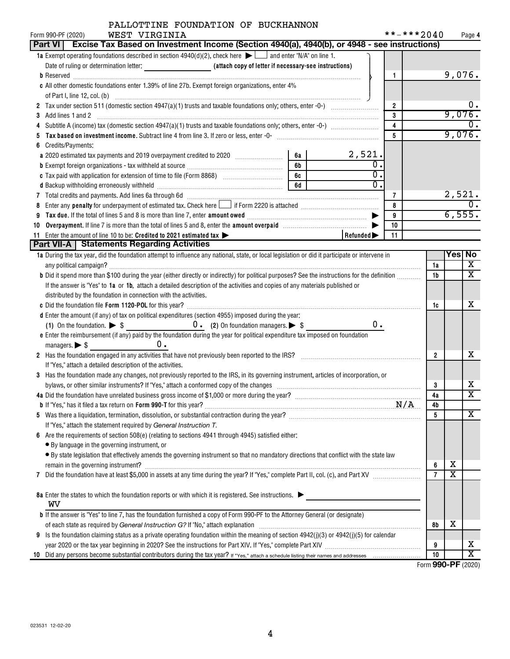# PALLOTTINE FOUNDATION OF BUCKHANNON

| WEST VIRGINIA<br>Form 990-PF (2020)                                                                                                              |                                  | **-***2040              |                |               | Page 4                  |
|--------------------------------------------------------------------------------------------------------------------------------------------------|----------------------------------|-------------------------|----------------|---------------|-------------------------|
| Part VI   Excise Tax Based on Investment Income (Section 4940(a), 4940(b), or 4948 - see instructions)                                           |                                  |                         |                |               |                         |
| <b>1a</b> Exempt operating foundations described in section $4940(d)(2)$ , check here $\Box$ and enter "N/A" on line 1.                          |                                  |                         |                |               |                         |
|                                                                                                                                                  |                                  |                         |                |               |                         |
|                                                                                                                                                  |                                  | $\mathbf{1}$            |                | 9,076.        |                         |
| c All other domestic foundations enter 1.39% of line 27b. Exempt foreign organizations, enter 4%                                                 |                                  |                         |                |               |                         |
|                                                                                                                                                  |                                  |                         |                |               |                         |
|                                                                                                                                                  |                                  | $\overline{2}$          |                |               |                         |
|                                                                                                                                                  |                                  | 3                       |                | 9,076.        |                         |
|                                                                                                                                                  |                                  | $\overline{\mathbf{4}}$ |                |               |                         |
|                                                                                                                                                  |                                  | 5                       |                | 9,076.        |                         |
| Credits/Payments:<br>6                                                                                                                           |                                  |                         |                |               |                         |
| a 2020 estimated tax payments and 2019 overpayment credited to 2020 [11, 12, 13, 13, 13, 13, 13, 13, 13, 13, 1<br>6а                             | $\frac{2,521}{2}$                |                         |                |               |                         |
| 6 <sub>b</sub>                                                                                                                                   | $\overline{0}$<br>$\overline{0}$ |                         |                |               |                         |
| 6c   1<br>c Tax paid with application for extension of time to file (Form 8868) [100] [100] [100] [100] [100] [100] [100                         |                                  |                         |                |               |                         |
| 6d                                                                                                                                               | $\overline{0}$ .                 |                         |                |               |                         |
| 7 Total credits and payments. Add lines 6a through 6d [11] [12] Total Conservation material credits and payments. Add lines 6a through 6d        |                                  | 7                       |                |               | $\frac{2,521}{0}$       |
|                                                                                                                                                  |                                  | 8                       |                |               |                         |
| 9                                                                                                                                                |                                  | 9                       |                | 6,555.        |                         |
| Overpayment. If line 7 is more than the total of lines 5 and 8, enter the amount overpaid manufactured by the T<br>10                            |                                  | 10                      |                |               |                         |
| 11 Enter the amount of line 10 to be: Credited to 2021 estimated tax                                                                             | Refunded                         | 11                      |                |               |                         |
| Part VII-A   Statements Regarding Activities                                                                                                     |                                  |                         |                |               |                         |
| 1a During the tax year, did the foundation attempt to influence any national, state, or local legislation or did it participate or intervene in  |                                  |                         |                | <b>Yes No</b> |                         |
|                                                                                                                                                  |                                  |                         | 1a             |               | х<br>X                  |
| b Did it spend more than \$100 during the year (either directly or indirectly) for political purposes? See the instructions for the definition   |                                  |                         | 1b             |               |                         |
| If the answer is "Yes" to 1a or 1b, attach a detailed description of the activities and copies of any materials published or                     |                                  |                         |                |               |                         |
| distributed by the foundation in connection with the activities.                                                                                 |                                  |                         |                |               | х                       |
|                                                                                                                                                  |                                  |                         | 1c             |               |                         |
| d Enter the amount (if any) of tax on political expenditures (section 4955) imposed during the year:                                             | 0.                               |                         |                |               |                         |
| e Enter the reimbursement (if any) paid by the foundation during the year for political expenditure tax imposed on foundation                    |                                  |                         |                |               |                         |
| managers. $\triangleright$ \$<br>$0$ .                                                                                                           |                                  |                         |                |               |                         |
| 2 Has the foundation engaged in any activities that have not previously been reported to the IRS? [[[[[[[[[[[[[[[[[[[[[[[[]]]]]]]]]]             |                                  |                         | $\overline{2}$ |               | x                       |
| If "Yes," attach a detailed description of the activities.                                                                                       |                                  |                         |                |               |                         |
| 3 Has the foundation made any changes, not previously reported to the IRS, in its governing instrument, articles of incorporation, or            |                                  |                         |                |               |                         |
|                                                                                                                                                  |                                  |                         | 3              |               | х                       |
|                                                                                                                                                  |                                  |                         | 4a             |               | $\overline{\textbf{X}}$ |
|                                                                                                                                                  |                                  |                         | 4b             |               |                         |
|                                                                                                                                                  |                                  |                         | 5              |               | X                       |
| If "Yes," attach the statement required by General Instruction T.                                                                                |                                  |                         |                |               |                         |
| 6 Are the requirements of section 508(e) (relating to sections 4941 through 4945) satisfied either:                                              |                                  |                         |                |               |                         |
| • By language in the governing instrument, or                                                                                                    |                                  |                         |                |               |                         |
| • By state legislation that effectively amends the governing instrument so that no mandatory directions that conflict with the state law         |                                  |                         |                |               |                         |
|                                                                                                                                                  |                                  |                         | 6              | х             |                         |
| 7                                                                                                                                                |                                  |                         | $\overline{7}$ | х             |                         |
|                                                                                                                                                  |                                  |                         |                |               |                         |
| 8a Enter the states to which the foundation reports or with which it is registered. See instructions.                                            |                                  |                         |                |               |                         |
| wv                                                                                                                                               |                                  |                         |                |               |                         |
| <b>b</b> If the answer is "Yes" to line 7, has the foundation furnished a copy of Form 990-PF to the Attorney General (or designate)             |                                  |                         |                |               |                         |
|                                                                                                                                                  |                                  |                         | 8b             | х             |                         |
| Is the foundation claiming status as a private operating foundation within the meaning of section $4942(j)(3)$ or $4942(j)(5)$ for calendar<br>9 |                                  |                         |                |               |                         |
|                                                                                                                                                  |                                  |                         | 9              |               | х                       |
|                                                                                                                                                  |                                  |                         | 10             |               | X                       |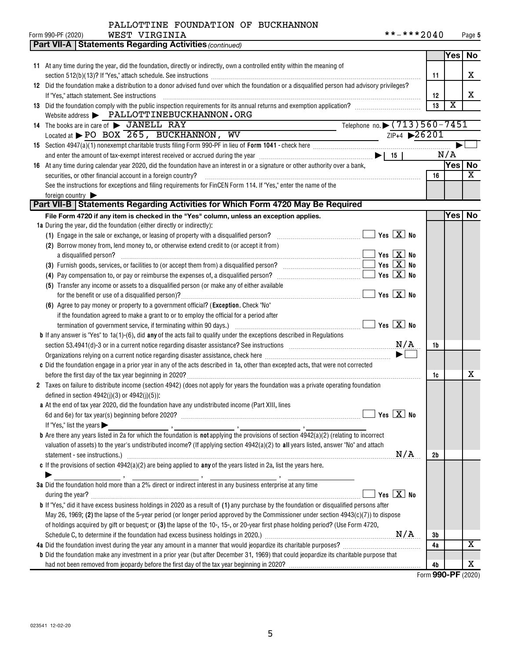| Form 990-PF (2020) | WEST VIRGINIA | **-***2040 | Page 5 |
|--------------------|---------------|------------|--------|
|                    |               |            |        |

|                                                                         | <b>Part VII-A   Statements Regarding Activities (continued)</b>                                                                                                                                                                           |                                               |    |                       |                         |
|-------------------------------------------------------------------------|-------------------------------------------------------------------------------------------------------------------------------------------------------------------------------------------------------------------------------------------|-----------------------------------------------|----|-----------------------|-------------------------|
|                                                                         |                                                                                                                                                                                                                                           |                                               |    | Yes                   | No                      |
|                                                                         | 11 At any time during the year, did the foundation, directly or indirectly, own a controlled entity within the meaning of                                                                                                                 |                                               |    |                       |                         |
|                                                                         |                                                                                                                                                                                                                                           |                                               | 11 |                       | x                       |
|                                                                         | 12 Did the foundation make a distribution to a donor advised fund over which the foundation or a disqualified person had advisory privileges?                                                                                             |                                               |    |                       |                         |
| If "Yes," attach statement. See instructions                            |                                                                                                                                                                                                                                           |                                               | 12 |                       | x                       |
|                                                                         | 13 Did the foundation comply with the public inspection requirements for its annual returns and exemption application?                                                                                                                    |                                               | 13 | $\overline{\text{x}}$ |                         |
|                                                                         | Website address > PALLOTTINEBUCKHANNON.ORG                                                                                                                                                                                                |                                               |    |                       |                         |
| 14 The books are in care of > JANELL RAY                                |                                                                                                                                                                                                                                           | Telephone no. $\triangleright$ (713) 560-7451 |    |                       |                         |
|                                                                         | Located at $\blacktriangleright$ PO BOX 265, BUCKHANNON, WV                                                                                                                                                                               | $ZIP+4$ 26201                                 |    |                       |                         |
|                                                                         | 15 Section 4947(a)(1) nonexempt charitable trusts filing Form 990-PF in lieu of Form 1041 - check here <i>manumerane and 1947</i> (a)(1) nonexempt charitable trusts filing Form 990-PF in lieu of Form 1041 - check here <i>manumera</i> |                                               |    |                       |                         |
|                                                                         | and enter the amount of tax-exempt interest received or accrued during the year $\ldots$ $\ldots$ $\ldots$ $\ldots$ $\ldots$ $\ldots$ $\ldots$ $\ldots$ $\ldots$ $\ldots$ $\ldots$ $\ldots$                                               |                                               |    | N/A                   |                         |
|                                                                         | 16 At any time during calendar year 2020, did the foundation have an interest in or a signature or other authority over a bank,                                                                                                           |                                               |    | Yes                   | No                      |
| securities, or other financial account in a foreign country?            |                                                                                                                                                                                                                                           |                                               | 16 |                       | X                       |
|                                                                         | See the instructions for exceptions and filing requirements for FinCEN Form 114. If "Yes," enter the name of the                                                                                                                          |                                               |    |                       |                         |
| foreign country                                                         |                                                                                                                                                                                                                                           |                                               |    |                       |                         |
|                                                                         | Part VII-B   Statements Regarding Activities for Which Form 4720 May Be Required                                                                                                                                                          |                                               |    |                       |                         |
|                                                                         | File Form 4720 if any item is checked in the "Yes" column, unless an exception applies.                                                                                                                                                   |                                               |    | <b>Yes</b>            | <b>No</b>               |
| 1a During the year, did the foundation (either directly or indirectly): |                                                                                                                                                                                                                                           |                                               |    |                       |                         |
|                                                                         | (1) Engage in the sale or exchange, or leasing of property with a disqualified person?                                                                                                                                                    | $\blacksquare$ Yes $\boxed{\mathrm{X}}$ No    |    |                       |                         |
|                                                                         | (2) Borrow money from, lend money to, or otherwise extend credit to (or accept it from)                                                                                                                                                   |                                               |    |                       |                         |
| a disqualified person?                                                  |                                                                                                                                                                                                                                           | $\blacksquare$ Yes $\boxed{\mathrm{X}}$ No    |    |                       |                         |
|                                                                         |                                                                                                                                                                                                                                           | Yes $X$ No                                    |    |                       |                         |
|                                                                         |                                                                                                                                                                                                                                           | Yes $X$ No                                    |    |                       |                         |
|                                                                         |                                                                                                                                                                                                                                           |                                               |    |                       |                         |
|                                                                         | (5) Transfer any income or assets to a disqualified person (or make any of either available                                                                                                                                               | $\sqrt{}$ Yes $\boxed{\text{X}}$ No           |    |                       |                         |
|                                                                         |                                                                                                                                                                                                                                           |                                               |    |                       |                         |
|                                                                         | (6) Agree to pay money or property to a government official? (Exception. Check "No"                                                                                                                                                       |                                               |    |                       |                         |
|                                                                         | if the foundation agreed to make a grant to or to employ the official for a period after                                                                                                                                                  |                                               |    |                       |                         |
|                                                                         |                                                                                                                                                                                                                                           |                                               |    |                       |                         |
|                                                                         | <b>b</b> If any answer is "Yes" to $1a(1)-(6)$ , did any of the acts fail to qualify under the exceptions described in Regulations                                                                                                        |                                               |    |                       |                         |
|                                                                         | section 53.4941(d)-3 or in a current notice regarding disaster assistance? See instructions $M/A$                                                                                                                                         |                                               | 1b |                       |                         |
|                                                                         |                                                                                                                                                                                                                                           |                                               |    |                       |                         |
|                                                                         | c Did the foundation engage in a prior year in any of the acts described in 1a, other than excepted acts, that were not corrected                                                                                                         |                                               |    |                       |                         |
|                                                                         |                                                                                                                                                                                                                                           |                                               | 1c |                       | х                       |
|                                                                         | 2 Taxes on failure to distribute income (section 4942) (does not apply for years the foundation was a private operating foundation                                                                                                        |                                               |    |                       |                         |
| defined in section $4942(j)(3)$ or $4942(j)(5)$ :                       |                                                                                                                                                                                                                                           |                                               |    |                       |                         |
|                                                                         | a At the end of tax year 2020, did the foundation have any undistributed income (Part XIII, lines                                                                                                                                         |                                               |    |                       |                         |
|                                                                         |                                                                                                                                                                                                                                           |                                               |    |                       |                         |
| If "Yes," list the years $\blacktriangleright$                          |                                                                                                                                                                                                                                           |                                               |    |                       |                         |
|                                                                         | <b>b</b> Are there any years listed in 2a for which the foundation is <b>not</b> applying the provisions of section $4942(a)(2)$ (relating to incorrect                                                                                   |                                               |    |                       |                         |
|                                                                         | valuation of assets) to the year's undistributed income? (If applying section 4942(a)(2) to all years listed, answer "No" and attach                                                                                                      |                                               |    |                       |                         |
|                                                                         |                                                                                                                                                                                                                                           | N/A                                           | 2b |                       |                         |
|                                                                         | c If the provisions of section $4942(a)(2)$ are being applied to any of the years listed in 2a, list the years here.                                                                                                                      |                                               |    |                       |                         |
|                                                                         | 3a Did the foundation hold more than a 2% direct or indirect interest in any business enterprise at any time                                                                                                                              |                                               |    |                       |                         |
|                                                                         |                                                                                                                                                                                                                                           |                                               |    |                       |                         |
| during the year?                                                        |                                                                                                                                                                                                                                           | Yes $X$ No                                    |    |                       |                         |
|                                                                         | <b>b</b> If "Yes," did it have excess business holdings in 2020 as a result of (1) any purchase by the foundation or disqualified persons after                                                                                           |                                               |    |                       |                         |
|                                                                         | May 26, 1969; (2) the lapse of the 5-year period (or longer period approved by the Commissioner under section $4943(c)(7)$ ) to dispose                                                                                                   |                                               |    |                       |                         |
|                                                                         | of holdings acquired by gift or bequest; or (3) the lapse of the 10-, 15-, or 20-year first phase holding period? (Use Form 4720,                                                                                                         |                                               |    |                       |                         |
|                                                                         |                                                                                                                                                                                                                                           |                                               | Зb |                       |                         |
|                                                                         | 4a Did the foundation invest during the year any amount in a manner that would jeopardize its charitable purposes?                                                                                                                        |                                               | 4a |                       | $\overline{\textbf{X}}$ |
|                                                                         | <b>b</b> Did the foundation make any investment in a prior year (but after December 31, 1969) that could jeopardize its charitable purpose that                                                                                           |                                               |    |                       |                         |
|                                                                         |                                                                                                                                                                                                                                           |                                               | 4b |                       | х                       |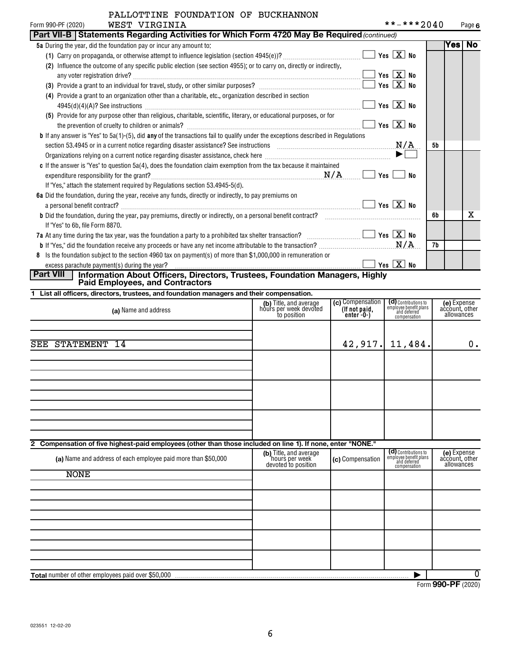| PALLOTTINE FOUNDATION OF BUCKHANNON                                                                                                     |                       |            |     |        |
|-----------------------------------------------------------------------------------------------------------------------------------------|-----------------------|------------|-----|--------|
| WEST VIRGINIA<br>Form 990-PF (2020)                                                                                                     |                       | **-***2040 |     | Page 6 |
| Part VII-B   Statements Regarding Activities for Which Form 4720 May Be Required (continued)                                            |                       |            |     |        |
| <b>5a</b> During the year, did the foundation pay or incur any amount to:                                                               |                       |            | Yes | No     |
|                                                                                                                                         | Yes $X$ No            |            |     |        |
| (2) Influence the outcome of any specific public election (see section 4955); or to carry on, directly or indirectly,                   |                       |            |     |        |
|                                                                                                                                         | Yes $X$ No            |            |     |        |
|                                                                                                                                         | Yes $X$ No            |            |     |        |
| (4) Provide a grant to an organization other than a charitable, etc., organization described in section                                 |                       |            |     |        |
|                                                                                                                                         | Yes $X$ No            |            |     |        |
| (5) Provide for any purpose other than religious, charitable, scientific, literary, or educational purposes, or for                     |                       |            |     |        |
|                                                                                                                                         | Yes $X$ No            |            |     |        |
| <b>b</b> If any answer is "Yes" to 5a(1)-(5), did any of the transactions fail to qualify under the exceptions described in Regulations |                       |            |     |        |
| section 53.4945 or in a current notice regarding disaster assistance? See instructions $M/A$                                            |                       |            | 5b  |        |
|                                                                                                                                         | $\blacktriangleright$ |            |     |        |
| c If the answer is "Yes" to question 5a(4), does the foundation claim exemption from the tax because it maintained                      |                       |            |     |        |
| <u>N/A</u><br>expenditure responsibility for the grant?                                                                                 | Yes                   | No         |     |        |
| If "Yes," attach the statement required by Regulations section 53.4945-5(d).                                                            |                       |            |     |        |
| 6a Did the foundation, during the year, receive any funds, directly or indirectly, to pay premiums on                                   |                       |            |     |        |
| a personal benefit contract?                                                                                                            | Yes $X$ No            |            |     |        |
| <b>b</b> Did the foundation, during the year, pay premiums, directly or indirectly, on a personal benefit contract?                     |                       |            | 6b  | х      |
| If "Yes" to 6b, file Form 8870.                                                                                                         |                       |            |     |        |
| 7a At any time during the tax year, was the foundation a party to a prohibited tax shelter transaction? $\ldots$                        |                       |            |     |        |
|                                                                                                                                         |                       |            | 7b  |        |
| Is the foundation subject to the section 4960 tax on payment(s) of more than \$1,000,000 in remuneration or<br>8                        |                       |            |     |        |
| excess parachute payment(s) during the year?                                                                                            | Yes $X$ No            |            |     |        |

# excess parachute payment(s) during the year? **Part VIII Information About Officers, Directors, Trustees, Foundation Managers, Highly Paid Employees, and Contractors**

| 1 List all officers, directors, trustees, and foundation managers and their compensation. |  |
|-------------------------------------------------------------------------------------------|--|
|-------------------------------------------------------------------------------------------|--|

| (a) Name and address                                                                                           | (b) Title, and average<br>hours per week devoted<br>to position | (c) Compensation<br>(If not paid,<br>enter-0-) | (d) Contributions to<br>employee benefit plans<br>and deferred<br>compensation | (e) Expense<br>account, other<br>allowances |
|----------------------------------------------------------------------------------------------------------------|-----------------------------------------------------------------|------------------------------------------------|--------------------------------------------------------------------------------|---------------------------------------------|
| <b>SEE STATEMENT 14</b>                                                                                        |                                                                 | 42,917.                                        | 11,484.                                                                        | 0.                                          |
|                                                                                                                |                                                                 |                                                |                                                                                |                                             |
|                                                                                                                |                                                                 |                                                |                                                                                |                                             |
| Compensation of five highest-paid employees (other than those included on line 1). If none, enter "NONE."<br>2 |                                                                 |                                                |                                                                                |                                             |
| (a) Name and address of each employee paid more than \$50,000                                                  | (b) Title, and average<br>hours per week<br>devoted to position | (c) Compensation                               | (d) Contributions to<br>employee benefit plans<br>and deferred<br>compensation | (e) Expense<br>account, other<br>allowances |
| <b>NONE</b>                                                                                                    |                                                                 |                                                |                                                                                |                                             |
|                                                                                                                |                                                                 |                                                |                                                                                |                                             |
|                                                                                                                |                                                                 |                                                |                                                                                |                                             |
|                                                                                                                |                                                                 |                                                |                                                                                |                                             |
| <b>Total</b> number of other employees paid over \$50,000                                                      |                                                                 |                                                |                                                                                | $\overline{0}$                              |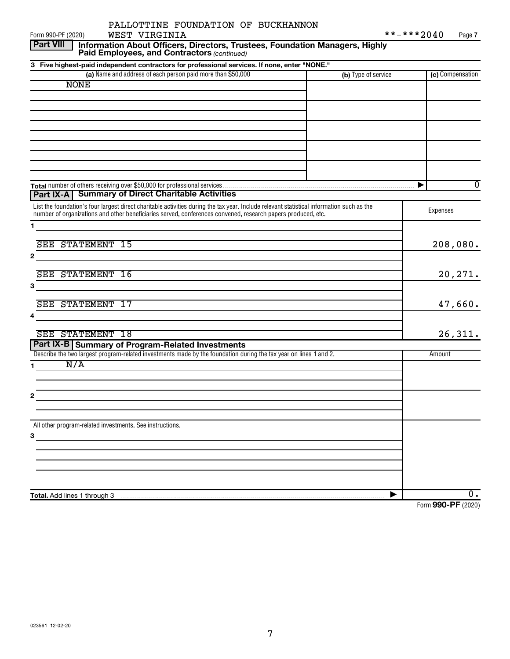| WEST VIRGINIA<br>Form 990-PF (2020)                                                                                                                                                                                                                       |                     | **-***2040<br>Page 7                    |
|-----------------------------------------------------------------------------------------------------------------------------------------------------------------------------------------------------------------------------------------------------------|---------------------|-----------------------------------------|
| <b>Part VIII</b><br>Information About Officers, Directors, Trustees, Foundation Managers, Highly<br>Paid Employees, and Contractors (continued)                                                                                                           |                     |                                         |
| 3 Five highest-paid independent contractors for professional services. If none, enter "NONE."                                                                                                                                                             |                     |                                         |
| (a) Name and address of each person paid more than \$50,000                                                                                                                                                                                               | (b) Type of service | (c) Compensation                        |
| <b>NONE</b>                                                                                                                                                                                                                                               |                     |                                         |
|                                                                                                                                                                                                                                                           |                     |                                         |
|                                                                                                                                                                                                                                                           |                     |                                         |
|                                                                                                                                                                                                                                                           |                     |                                         |
|                                                                                                                                                                                                                                                           |                     |                                         |
|                                                                                                                                                                                                                                                           |                     |                                         |
|                                                                                                                                                                                                                                                           |                     |                                         |
|                                                                                                                                                                                                                                                           |                     |                                         |
|                                                                                                                                                                                                                                                           |                     |                                         |
|                                                                                                                                                                                                                                                           |                     |                                         |
| Part IX-A   Summary of Direct Charitable Activities                                                                                                                                                                                                       |                     | $\overline{0}$<br>$\blacktriangleright$ |
|                                                                                                                                                                                                                                                           |                     |                                         |
| List the foundation's four largest direct charitable activities during the tax year. Include relevant statistical information such as the<br>number of organizations and other beneficiaries served, conferences convened, research papers produced, etc. |                     | Expenses                                |
| 1.                                                                                                                                                                                                                                                        |                     |                                         |
|                                                                                                                                                                                                                                                           |                     |                                         |
| SEE STATEMENT 15                                                                                                                                                                                                                                          |                     | 208,080.                                |
| 2                                                                                                                                                                                                                                                         |                     |                                         |
|                                                                                                                                                                                                                                                           |                     |                                         |
| SEE STATEMENT 16                                                                                                                                                                                                                                          |                     | 20,271.                                 |
| 3                                                                                                                                                                                                                                                         |                     |                                         |
|                                                                                                                                                                                                                                                           |                     |                                         |
| SEE STATEMENT 17                                                                                                                                                                                                                                          |                     | 47,660.                                 |
| 4                                                                                                                                                                                                                                                         |                     |                                         |
| SEE STATEMENT 18                                                                                                                                                                                                                                          |                     | 26,311.                                 |
| Part IX-B Summary of Program-Related Investments                                                                                                                                                                                                          |                     |                                         |
| Describe the two largest program-related investments made by the foundation during the tax year on lines 1 and 2.                                                                                                                                         |                     | Amount                                  |
| N/A<br>1.                                                                                                                                                                                                                                                 |                     |                                         |
|                                                                                                                                                                                                                                                           |                     |                                         |
|                                                                                                                                                                                                                                                           |                     |                                         |
| 2                                                                                                                                                                                                                                                         |                     |                                         |
|                                                                                                                                                                                                                                                           |                     |                                         |
|                                                                                                                                                                                                                                                           |                     |                                         |
| All other program-related investments. See instructions.                                                                                                                                                                                                  |                     |                                         |
| 3                                                                                                                                                                                                                                                         |                     |                                         |
|                                                                                                                                                                                                                                                           |                     |                                         |
|                                                                                                                                                                                                                                                           |                     |                                         |
|                                                                                                                                                                                                                                                           |                     |                                         |
|                                                                                                                                                                                                                                                           |                     |                                         |
| Total. Add lines 1 through 3                                                                                                                                                                                                                              |                     | 0.                                      |
|                                                                                                                                                                                                                                                           |                     | Form 990-PF (2020)                      |

PALLOTTINE FOUNDATION OF BUCKHANNON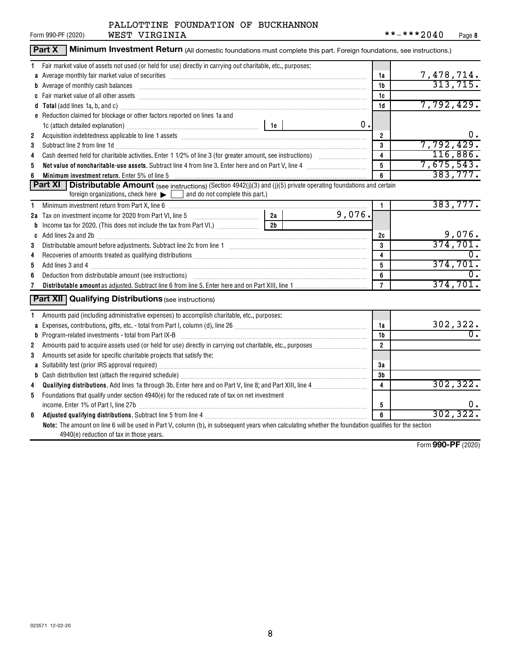| Form 990-PF (2020) |  |
|--------------------|--|

|                | Part X<br>Minimum Investment Return (All domestic foundations must complete this part. Foreign foundations, see instructions.)                                                                                                 |                |        |                |                               |
|----------------|--------------------------------------------------------------------------------------------------------------------------------------------------------------------------------------------------------------------------------|----------------|--------|----------------|-------------------------------|
| 1              | Fair market value of assets not used (or held for use) directly in carrying out charitable, etc., purposes:                                                                                                                    |                |        |                |                               |
|                | a Average monthly fair market value of securities [11] matter content to the control of the second state of securities [11] matter content and average monthly fair market value of securities [11] matter content and average |                |        | 1a             | $\frac{7,478,714.}{313,715.}$ |
|                | b Average of monthly cash balances <b>constructed and all and all and all and all an</b> Average of monthly cash balances                                                                                                      |                |        | 1b             |                               |
|                |                                                                                                                                                                                                                                |                |        | 1c             |                               |
|                | d Total (add lines 1a, b, and c) Mathematical Annual Contract and Total (add lines 1a, b, and c)                                                                                                                               |                |        | 1d             | 7,792,429.                    |
|                | e Reduction claimed for blockage or other factors reported on lines 1a and                                                                                                                                                     |                |        |                |                               |
|                |                                                                                                                                                                                                                                |                | 0.     |                |                               |
| $\overline{2}$ |                                                                                                                                                                                                                                |                |        | $\overline{2}$ | 0.                            |
| 3              | Subtract line 2 from line 1d <b>Machinese and Contract Line 2</b> from line 1d <b>Machinese Automobile 2</b>                                                                                                                   |                |        | 3              | 7,792,429.                    |
| 4              |                                                                                                                                                                                                                                |                |        | 4              | 116,886.                      |
| 5              | Net value of noncharitable-use assets. Subtract line 4 from line 3. Enter here and on Part V, line 4 [11, 1111] Notion 11 [11] Notion 11 [11] Notion 11 [11] Notion 12 [11] Notion 12 [11] Notion 12 [11] Notion 12 [11] Notio |                |        | 5              | 7,675,543.                    |
| 6              | Minimum investment return. Enter 5% of line 5                                                                                                                                                                                  |                |        | 6              | 383,777.                      |
|                | <b>Part XI</b>   Distributable Amount (see instructions) (Section 4942(j)(3) and (j)(5) private operating foundations and certain                                                                                              |                |        |                |                               |
|                | foreign organizations, check here $\blacktriangleright$ $\Box$ and do not complete this part.)                                                                                                                                 |                |        |                |                               |
| 1              | Minimum investment return from Part X, line 6 [11] Minimum and the contract of the contract of the contract of                                                                                                                 |                |        | 1.             | 383,777.                      |
|                |                                                                                                                                                                                                                                |                | 9,076. |                |                               |
|                |                                                                                                                                                                                                                                | 2 <sub>b</sub> |        |                |                               |
|                |                                                                                                                                                                                                                                |                |        | 2c             | 9,076.                        |
| 3              |                                                                                                                                                                                                                                |                |        | 3              | 374,701.                      |
| 4              |                                                                                                                                                                                                                                |                |        | 4              | 0.                            |
| 5              |                                                                                                                                                                                                                                |                |        | 5              | 374,701.                      |
| 6              |                                                                                                                                                                                                                                |                |        | 6              |                               |
| 7              |                                                                                                                                                                                                                                |                |        | $\overline{7}$ | 374,701.                      |
|                | <b>Part XII</b> Qualifying Distributions (see instructions)                                                                                                                                                                    |                |        |                |                               |
|                |                                                                                                                                                                                                                                |                |        |                |                               |
| 1              | Amounts paid (including administrative expenses) to accomplish charitable, etc., purposes:                                                                                                                                     |                |        |                |                               |
|                |                                                                                                                                                                                                                                |                |        | 1a             | 302,322.                      |
|                |                                                                                                                                                                                                                                |                |        | 1b             |                               |
| 2              |                                                                                                                                                                                                                                |                |        | $\overline{2}$ |                               |
| 3              | Amounts set aside for specific charitable projects that satisfy the:                                                                                                                                                           |                |        |                |                               |
|                |                                                                                                                                                                                                                                |                |        | 3a             |                               |
|                |                                                                                                                                                                                                                                |                |        | 3b             | 302, 322.                     |
| 4              |                                                                                                                                                                                                                                |                |        | 4              |                               |
| 5              | Foundations that qualify under section 4940(e) for the reduced rate of tax on net investment                                                                                                                                   |                |        |                |                               |
|                |                                                                                                                                                                                                                                |                |        | 5<br>6         | $\mathbf 0$ .<br>302, 322.    |
| 6              |                                                                                                                                                                                                                                |                |        |                |                               |
|                | Note: The amount on line 6 will be used in Part V, column (b), in subsequent years when calculating whether the foundation qualifies for the section<br>4940(e) reduction of tax in those years.                               |                |        |                |                               |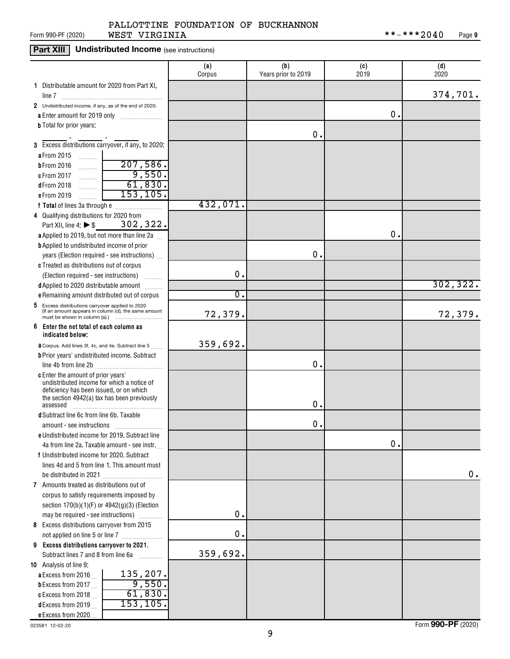# **Part XIII Undistributed Income** (see instructions)

|                                                                                                             | (a)<br>Corpus | (b)<br>Years prior to 2019 | (c)<br>2019   | (d)<br>2020 |
|-------------------------------------------------------------------------------------------------------------|---------------|----------------------------|---------------|-------------|
| 1 Distributable amount for 2020 from Part XI,                                                               |               |                            |               |             |
| line 7                                                                                                      |               |                            |               | 374,701.    |
| 2 Undistributed income, if any, as of the end of 2020:                                                      |               |                            |               |             |
| a Enter amount for 2019 only                                                                                |               |                            | О.            |             |
| <b>b</b> Total for prior years:                                                                             |               |                            |               |             |
| 3 Excess distributions carryover, if any, to 2020:                                                          |               | 0.                         |               |             |
| a From 2015                                                                                                 |               |                            |               |             |
| .<br>207,586.<br><b>b</b> From 2016                                                                         |               |                            |               |             |
| .<br>9,550.<br>c From 2017<br>.                                                                             |               |                            |               |             |
| 61,830.<br>dFrom 2018<br>.                                                                                  |               |                            |               |             |
| 153, 105.<br>eFrom 2019<br>.                                                                                |               |                            |               |             |
| f Total of lines 3a through e                                                                               | 432,071.      |                            |               |             |
| 4 Qualifying distributions for 2020 from                                                                    |               |                            |               |             |
| 302, 322.<br>Part XII, line 4: $\triangleright$ \$                                                          |               |                            |               |             |
| a Applied to 2019, but not more than line 2a                                                                |               |                            | О.            |             |
| <b>b</b> Applied to undistributed income of prior                                                           |               |                            |               |             |
| years (Election required - see instructions)                                                                |               | 0.                         |               |             |
| c Treated as distributions out of corpus                                                                    |               |                            |               |             |
| (Election required - see instructions)                                                                      | $\mathbf 0$ . |                            |               |             |
| d Applied to 2020 distributable amount                                                                      |               |                            |               | 302, 322.   |
| <b>e</b> Remaining amount distributed out of corpus                                                         | σ.            |                            |               |             |
| Excess distributions carryover applied to 2020<br>5<br>(If an amount appears in column (d), the same amount | 72,379.       |                            |               | 72,379.     |
| 6<br>Enter the net total of each column as<br>indicated below;                                              |               |                            |               |             |
| <b>a</b> Corpus. Add lines 3f, 4c, and 4e. Subtract line 5                                                  | 359,692.      |                            |               |             |
| <b>b</b> Prior years' undistributed income. Subtract                                                        |               |                            |               |             |
| line 4b from line 2b                                                                                        |               | Ο.                         |               |             |
| <b>c</b> Enter the amount of prior years'                                                                   |               |                            |               |             |
| undistributed income for which a notice of                                                                  |               |                            |               |             |
| deficiency has been issued, or on which<br>the section 4942(a) tax has been previously                      |               |                            |               |             |
| assessed                                                                                                    |               | Ο.                         |               |             |
| <b>d</b> Subtract line 6c from line 6b. Taxable                                                             |               |                            |               |             |
| amount - see instructions                                                                                   |               | 0.                         |               |             |
| e Undistributed income for 2019. Subtract line                                                              |               |                            |               |             |
| 4a from line 2a. Taxable amount - see instr.                                                                |               |                            | $\mathbf 0$ . |             |
| f Undistributed income for 2020. Subtract                                                                   |               |                            |               |             |
| lines 4d and 5 from line 1. This amount must                                                                |               |                            |               |             |
| be distributed in 2021                                                                                      |               |                            |               | 0.          |
| 7 Amounts treated as distributions out of                                                                   |               |                            |               |             |
| corpus to satisfy requirements imposed by                                                                   |               |                            |               |             |
| section 170(b)(1)(F) or 4942(g)(3) (Election                                                                |               |                            |               |             |
| may be required - see instructions)                                                                         | $\mathbf 0$ . |                            |               |             |
| 8 Excess distributions carryover from 2015                                                                  |               |                            |               |             |
|                                                                                                             | $\mathbf 0$ . |                            |               |             |
| 9 Excess distributions carryover to 2021.                                                                   | 359,692.      |                            |               |             |
| Subtract lines 7 and 8 from line 6a<br>.                                                                    |               |                            |               |             |
| 10 Analysis of line 9:<br>135,207.                                                                          |               |                            |               |             |
| a Excess from 2016<br>9,550.<br><b>b</b> Excess from 2017 $\ldots$                                          |               |                            |               |             |
| 61,830.<br>c Excess from 2018                                                                               |               |                            |               |             |
| 153,105.<br>dExcess from 2019                                                                               |               |                            |               |             |
| e Excess from 2020                                                                                          |               |                            |               |             |

023581 12-02-20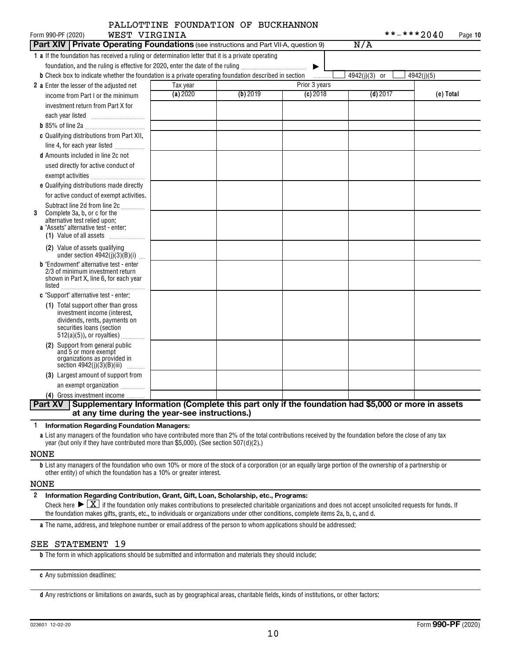| WEST VIRGINIA<br>Form 990-PF (2020)                                                                                                                                                                                                                                                                  |          | PALLOTTINE FOUNDATION OF BUCKHANNON |               | **-***2040    | Page 10    |
|------------------------------------------------------------------------------------------------------------------------------------------------------------------------------------------------------------------------------------------------------------------------------------------------------|----------|-------------------------------------|---------------|---------------|------------|
| Part XIV   Private Operating Foundations (see instructions and Part VII-A, question 9)                                                                                                                                                                                                               |          |                                     |               | N/A           |            |
| 1 a If the foundation has received a ruling or determination letter that it is a private operating<br>foundation, and the ruling is effective for 2020, enter the date of the ruling<br><b>b</b> Check box to indicate whether the foundation is a private operating foundation described in section |          |                                     | ▶<br>.        | 4942(j)(3) or | 4942(j)(5) |
| 2 a Enter the lesser of the adjusted net                                                                                                                                                                                                                                                             | Tax year |                                     | Prior 3 years |               |            |
| income from Part I or the minimum                                                                                                                                                                                                                                                                    | (a) 2020 | (b) 2019                            | $(c)$ 2018    | $(d)$ 2017    | (e) Total  |
| investment return from Part X for                                                                                                                                                                                                                                                                    |          |                                     |               |               |            |
|                                                                                                                                                                                                                                                                                                      |          |                                     |               |               |            |
|                                                                                                                                                                                                                                                                                                      |          |                                     |               |               |            |
| c Qualifying distributions from Part XII,                                                                                                                                                                                                                                                            |          |                                     |               |               |            |
| line 4, for each year listed                                                                                                                                                                                                                                                                         |          |                                     |               |               |            |
| <b>d</b> Amounts included in line 2c not                                                                                                                                                                                                                                                             |          |                                     |               |               |            |
| used directly for active conduct of<br>exempt activities                                                                                                                                                                                                                                             |          |                                     |               |               |            |
| e Qualifying distributions made directly                                                                                                                                                                                                                                                             |          |                                     |               |               |            |
| for active conduct of exempt activities.                                                                                                                                                                                                                                                             |          |                                     |               |               |            |
| Subtract line 2d from line 2c<br>Complete 3a, b, or c for the<br>3<br>alternative test relied upon:<br>a "Assets" alternative test - enter:<br>(1) Value of all assets                                                                                                                               |          |                                     |               |               |            |
| (2) Value of assets qualifying<br>under section $4942(j)(3)(B)(i)$                                                                                                                                                                                                                                   |          |                                     |               |               |            |
| <b>b</b> "Endowment" alternative test - enter<br>2/3 of minimum investment return<br>shown in Part X, line 6, for each year<br>$listed \_$                                                                                                                                                           |          |                                     |               |               |            |
| c "Support" alternative test - enter:                                                                                                                                                                                                                                                                |          |                                     |               |               |            |
| (1) Total support other than gross<br>investment income (interest,<br>dividends, rents, payments on<br>securities loans (section<br>$512(a)(5)$ , or royalties)                                                                                                                                      |          |                                     |               |               |            |
| (2) Support from general public<br>and 5 or more exempt<br>organizations as provided in<br>section $4942(j)(3)(B)(iii)$<br>.                                                                                                                                                                         |          |                                     |               |               |            |
| (3) Largest amount of support from                                                                                                                                                                                                                                                                   |          |                                     |               |               |            |
| an exempt organization                                                                                                                                                                                                                                                                               |          |                                     |               |               |            |
| (4) Gross investment income                                                                                                                                                                                                                                                                          |          |                                     |               |               |            |
| Supplementary Information (Complete this part only if the foundation had \$5,000 or more in assets<br><b>Part XV</b>                                                                                                                                                                                 |          |                                     |               |               |            |
| at any time during the year-see instructions.)                                                                                                                                                                                                                                                       |          |                                     |               |               |            |

**1 Information Regarding Foundation Managers:**

**a** List any managers of the foundation who have contributed more than 2% of the total contributions received by the foundation before the close of any tax year (but only if they have contributed more than \$5,000). (See section 507(d)(2).)

#### NONE

**b** List any managers of the foundation who own 10% or more of the stock of a corporation (or an equally large portion of the ownership of a partnership or other entity) of which the foundation has a 10% or greater interest.

#### NONE

**2 Information Regarding Contribution, Grant, Gift, Loan, Scholarship, etc., Programs:** Check here  $\sum X_i$  if the foundation only makes contributions to preselected charitable organizations and does not accept unsolicited requests for funds. If the foundation makes gifts, grants, etc., to individuals or organizations under other conditions, complete items 2a, b, c, and d.

**a** The name, address, and telephone number or email address of the person to whom applications should be addressed:

# SEE STATEMENT 19

**b** The form in which applications should be submitted and information and materials they should include:

**c** Any submission deadlines:

**d** Any restrictions or limitations on awards, such as by geographical areas, charitable fields, kinds of institutions, or other factors: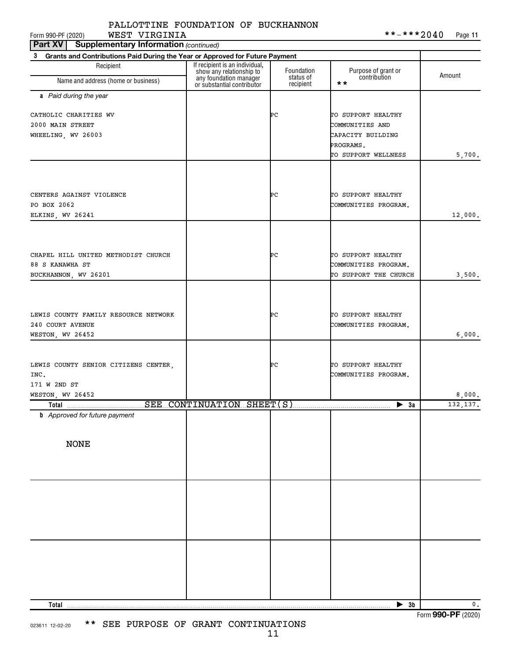# PALLOTTINE FOUNDATION OF BUCKHANNON

**Part XV** | Supplementary Information (continued)

| Grants and Contributions Paid During the Year or Approved for Future Payment<br>3 |                                                            |                         |                                            |               |  |  |
|-----------------------------------------------------------------------------------|------------------------------------------------------------|-------------------------|--------------------------------------------|---------------|--|--|
| Recipient                                                                         | If recipient is an individual,<br>show any relationship to | Foundation<br>status of | Purpose of grant or<br>contribution        | Amount        |  |  |
| Name and address (home or business)                                               | any foundation manager<br>or substantial contributor       | recipient               | $\star\star$                               |               |  |  |
| a Paid during the year                                                            |                                                            |                         |                                            |               |  |  |
| CATHOLIC CHARITIES WV                                                             |                                                            | ÞС                      | TO SUPPORT HEALTHY                         |               |  |  |
| 2000 MAIN STREET                                                                  |                                                            |                         | COMMUNITIES AND                            |               |  |  |
| WHEELING, WV 26003                                                                |                                                            |                         | CAPACITY BUILDING                          |               |  |  |
|                                                                                   |                                                            |                         | PROGRAMS.                                  |               |  |  |
|                                                                                   |                                                            |                         | TO SUPPORT WELLNESS                        | 5,700.        |  |  |
|                                                                                   |                                                            |                         |                                            |               |  |  |
| CENTERS AGAINST VIOLENCE                                                          |                                                            | ÞС                      | TO SUPPORT HEALTHY                         |               |  |  |
| PO BOX 2062                                                                       |                                                            |                         | COMMUNITIES PROGRAM.                       |               |  |  |
| ELKINS, WV 26241                                                                  |                                                            |                         |                                            | 12,000.       |  |  |
|                                                                                   |                                                            |                         |                                            |               |  |  |
|                                                                                   |                                                            |                         |                                            |               |  |  |
| CHAPEL HILL UNITED METHODIST CHURCH<br>88 S KANAWHA ST                            |                                                            | ÞС                      | TO SUPPORT HEALTHY<br>COMMUNITIES PROGRAM. |               |  |  |
| BUCKHANNON, WV 26201                                                              |                                                            |                         | TO SUPPORT THE CHURCH                      | 3,500.        |  |  |
|                                                                                   |                                                            |                         |                                            |               |  |  |
| LEWIS COUNTY FAMILY RESOURCE NETWORK                                              |                                                            | ÞС                      | TO SUPPORT HEALTHY                         |               |  |  |
| 240 COURT AVENUE                                                                  |                                                            |                         | COMMUNITIES PROGRAM.                       |               |  |  |
| WESTON, WV 26452                                                                  |                                                            |                         |                                            | 6,000.        |  |  |
|                                                                                   |                                                            |                         |                                            |               |  |  |
| LEWIS COUNTY SENIOR CITIZENS CENTER,                                              |                                                            | ÞС                      | TO SUPPORT HEALTHY                         |               |  |  |
| INC.                                                                              |                                                            |                         | COMMUNITIES PROGRAM.                       |               |  |  |
| 171 W 2ND ST                                                                      |                                                            |                         |                                            |               |  |  |
| WESTON, WV 26452<br>SEE CONTINUATION SHEET(S)                                     |                                                            |                         |                                            | 8,000.        |  |  |
| Total<br><b>b</b> Approved for future payment                                     |                                                            |                         | $\triangleright$ 3a                        | 132,137.      |  |  |
|                                                                                   |                                                            |                         |                                            |               |  |  |
| <b>NONE</b>                                                                       |                                                            |                         |                                            |               |  |  |
|                                                                                   |                                                            |                         |                                            |               |  |  |
|                                                                                   |                                                            |                         |                                            |               |  |  |
|                                                                                   |                                                            |                         |                                            |               |  |  |
|                                                                                   |                                                            |                         |                                            |               |  |  |
|                                                                                   |                                                            |                         |                                            |               |  |  |
|                                                                                   |                                                            |                         |                                            |               |  |  |
|                                                                                   |                                                            |                         |                                            |               |  |  |
|                                                                                   |                                                            |                         |                                            |               |  |  |
|                                                                                   |                                                            |                         |                                            |               |  |  |
| Total                                                                             |                                                            |                         | 3b<br>▶                                    | $\mathbf 0$ . |  |  |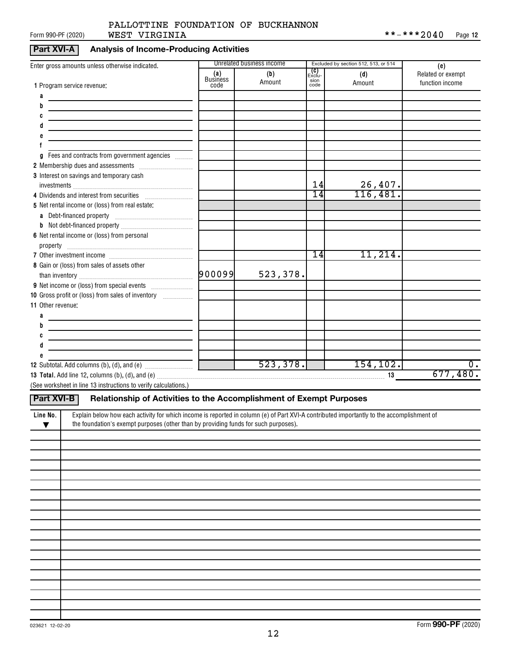# Form 990-PF (2020) **WEST VIRGINIA** \* \* - \* \* \* 2 **0 4 0** Page PALLOTTINE FOUNDATION OF BUCKHANNON

# **Part XVI-A Analysis of Income-Producing Activities**

| Enter gross amounts unless otherwise indicated.                                                                                                       |                         | Unrelated business income |                      | Excluded by section 512, 513, or 514 | (e)               |
|-------------------------------------------------------------------------------------------------------------------------------------------------------|-------------------------|---------------------------|----------------------|--------------------------------------|-------------------|
|                                                                                                                                                       | (a)                     | (b)                       | <b>(C)</b><br>Exclu- | (d)                                  | Related or exempt |
| 1 Program service revenue:                                                                                                                            | <b>Business</b><br>code | Amount                    | sion<br>code         | Amount                               | function income   |
| a                                                                                                                                                     |                         |                           |                      |                                      |                   |
| b                                                                                                                                                     |                         |                           |                      |                                      |                   |
|                                                                                                                                                       |                         |                           |                      |                                      |                   |
|                                                                                                                                                       |                         |                           |                      |                                      |                   |
|                                                                                                                                                       |                         |                           |                      |                                      |                   |
|                                                                                                                                                       |                         |                           |                      |                                      |                   |
| Fees and contracts from government agencies<br>g                                                                                                      |                         |                           |                      |                                      |                   |
|                                                                                                                                                       |                         |                           |                      |                                      |                   |
| 3 Interest on savings and temporary cash                                                                                                              |                         |                           |                      |                                      |                   |
|                                                                                                                                                       |                         |                           | 14                   | $\frac{26,407.}{116,481.}$           |                   |
| 4 Dividends and interest from securities                                                                                                              |                         |                           | $\overline{14}$      |                                      |                   |
| 5 Net rental income or (loss) from real estate:                                                                                                       |                         |                           |                      |                                      |                   |
|                                                                                                                                                       |                         |                           |                      |                                      |                   |
|                                                                                                                                                       |                         |                           |                      |                                      |                   |
| 6 Net rental income or (loss) from personal                                                                                                           |                         |                           |                      |                                      |                   |
|                                                                                                                                                       |                         |                           |                      |                                      |                   |
|                                                                                                                                                       |                         |                           | 14                   | 11,214.                              |                   |
| 8 Gain or (loss) from sales of assets other                                                                                                           |                         |                           |                      |                                      |                   |
|                                                                                                                                                       |                         | 523,378.                  |                      |                                      |                   |
|                                                                                                                                                       |                         |                           |                      |                                      |                   |
| 10 Gross profit or (loss) from sales of inventory                                                                                                     |                         |                           |                      |                                      |                   |
| 11 Other revenue:                                                                                                                                     |                         |                           |                      |                                      |                   |
| a                                                                                                                                                     |                         |                           |                      |                                      |                   |
| b                                                                                                                                                     |                         |                           |                      |                                      |                   |
|                                                                                                                                                       |                         |                           |                      |                                      |                   |
|                                                                                                                                                       |                         |                           |                      |                                      |                   |
|                                                                                                                                                       |                         |                           |                      |                                      | $0$ .             |
|                                                                                                                                                       |                         |                           |                      |                                      | 677,480.          |
| (See worksheet in line 13 instructions to verify calculations.)                                                                                       |                         |                           |                      |                                      |                   |
|                                                                                                                                                       |                         |                           |                      |                                      |                   |
| Relationship of Activities to the Accomplishment of Exempt Purposes<br><b>Part XVI-B</b>                                                              |                         |                           |                      |                                      |                   |
| Explain below how each activity for which income is reported in column (e) of Part XVI-A contributed importantly to the accomplishment of<br>Line No. |                         |                           |                      |                                      |                   |
| the foundation's exempt purposes (other than by providing funds for such purposes).<br>$\blacktriangledown$                                           |                         |                           |                      |                                      |                   |
|                                                                                                                                                       |                         |                           |                      |                                      |                   |
|                                                                                                                                                       |                         |                           |                      |                                      |                   |
|                                                                                                                                                       |                         |                           |                      |                                      |                   |
|                                                                                                                                                       |                         |                           |                      |                                      |                   |
|                                                                                                                                                       |                         |                           |                      |                                      |                   |
|                                                                                                                                                       |                         |                           |                      |                                      |                   |
|                                                                                                                                                       |                         |                           |                      |                                      |                   |
|                                                                                                                                                       |                         |                           |                      |                                      |                   |
|                                                                                                                                                       |                         |                           |                      |                                      |                   |
|                                                                                                                                                       |                         |                           |                      |                                      |                   |
|                                                                                                                                                       |                         |                           |                      |                                      |                   |
|                                                                                                                                                       |                         |                           |                      |                                      |                   |
|                                                                                                                                                       |                         |                           |                      |                                      |                   |
|                                                                                                                                                       |                         |                           |                      |                                      |                   |
|                                                                                                                                                       |                         |                           |                      |                                      |                   |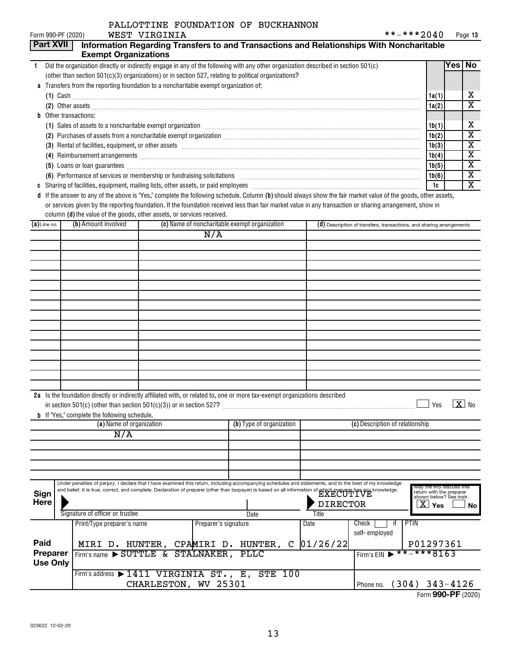# PALLOTTINE FOUNDATION OF BUCKHANNON

| Form 990-PF (2020)                                                                   |                                                                          | WEST VIRGINIA        |                      | PALLOTIINE FOUNDATION OF BUCKHANNON                                                                                                                                                                                                  |                 |                                                                      | **-***2040                                           |        | Page 13                      |
|--------------------------------------------------------------------------------------|--------------------------------------------------------------------------|----------------------|----------------------|--------------------------------------------------------------------------------------------------------------------------------------------------------------------------------------------------------------------------------------|-----------------|----------------------------------------------------------------------|------------------------------------------------------|--------|------------------------------|
| Part XVII                                                                            |                                                                          |                      |                      | Information Regarding Transfers to and Transactions and Relationships With Noncharitable                                                                                                                                             |                 |                                                                      |                                                      |        |                              |
|                                                                                      | <b>Exempt Organizations</b>                                              |                      |                      |                                                                                                                                                                                                                                      |                 |                                                                      |                                                      |        |                              |
| $\mathbf{1}$                                                                         |                                                                          |                      |                      | Did the organization directly or indirectly engage in any of the following with any other organization described in section 501(c)                                                                                                   |                 |                                                                      |                                                      | Yes No |                              |
|                                                                                      |                                                                          |                      |                      | (other than section 501(c)(3) organizations) or in section 527, relating to political organizations?                                                                                                                                 |                 |                                                                      |                                                      |        |                              |
| a Transfers from the reporting foundation to a noncharitable exempt organization of: |                                                                          |                      |                      |                                                                                                                                                                                                                                      |                 |                                                                      |                                                      |        |                              |
|                                                                                      |                                                                          |                      |                      |                                                                                                                                                                                                                                      |                 |                                                                      | 1a(1)                                                |        | x                            |
|                                                                                      |                                                                          |                      |                      |                                                                                                                                                                                                                                      |                 |                                                                      |                                                      |        | $\overline{\text{x}}$        |
| Other transactions:                                                                  |                                                                          |                      |                      |                                                                                                                                                                                                                                      |                 |                                                                      |                                                      |        |                              |
|                                                                                      |                                                                          |                      |                      | (1) Sales of assets to a noncharitable exempt organization manufactured contained and a set of assets to a noncharitable exempt organization                                                                                         |                 |                                                                      | 1b(1)                                                |        | х<br>$\overline{\textbf{x}}$ |
|                                                                                      |                                                                          |                      |                      |                                                                                                                                                                                                                                      |                 |                                                                      |                                                      |        |                              |
|                                                                                      |                                                                          |                      |                      | (3) Rental of facilities, equipment, or other assets [1] resummand content to content the set of the set of the set of the set of the set of the set of the set of the set of the set of the set of the set of the set of the        |                 |                                                                      | 1b(3)                                                |        | $\overline{\mathbf{X}}$      |
|                                                                                      |                                                                          |                      |                      |                                                                                                                                                                                                                                      |                 |                                                                      | 1b(4)                                                |        | $\overline{\mathbf{X}}$      |
|                                                                                      |                                                                          |                      |                      | (5) Loans or loan guarantees <b>commission contract and contract and contract and contract and contract and contract and contract and contract and contract and contract and contract and contract and contract and contract and</b> |                 |                                                                      | 1b(5)                                                |        | $\overline{\text{x}}$        |
|                                                                                      |                                                                          |                      |                      | (6) Performance of services or membership or fundraising solicitations [11] manufacture material manufacture of services or membership or fundraising solicitations [11] manufacture material materials and the service of the       |                 |                                                                      | 1b(6)                                                |        | $\overline{\textbf{x}}$      |
|                                                                                      |                                                                          |                      |                      |                                                                                                                                                                                                                                      |                 |                                                                      | 1c                                                   |        | $\overline{\textbf{x}}$      |
|                                                                                      |                                                                          |                      |                      | d If the answer to any of the above is "Yes," complete the following schedule. Column (b) should always show the fair market value of the goods, other assets,                                                                       |                 |                                                                      |                                                      |        |                              |
|                                                                                      | column (d) the value of the goods, other assets, or services received.   |                      |                      | or services given by the reporting foundation. If the foundation received less than fair market value in any transaction or sharing arrangement, show in                                                                             |                 |                                                                      |                                                      |        |                              |
| $(a)$ Line no.                                                                       | (b) Amount involved                                                      |                      |                      | (c) Name of noncharitable exempt organization                                                                                                                                                                                        |                 | (d) Description of transfers, transactions, and sharing arrangements |                                                      |        |                              |
|                                                                                      |                                                                          |                      | N/A                  |                                                                                                                                                                                                                                      |                 |                                                                      |                                                      |        |                              |
|                                                                                      |                                                                          |                      |                      |                                                                                                                                                                                                                                      |                 |                                                                      |                                                      |        |                              |
|                                                                                      |                                                                          |                      |                      |                                                                                                                                                                                                                                      |                 |                                                                      |                                                      |        |                              |
|                                                                                      |                                                                          |                      |                      |                                                                                                                                                                                                                                      |                 |                                                                      |                                                      |        |                              |
|                                                                                      |                                                                          |                      |                      |                                                                                                                                                                                                                                      |                 |                                                                      |                                                      |        |                              |
|                                                                                      |                                                                          |                      |                      |                                                                                                                                                                                                                                      |                 |                                                                      |                                                      |        |                              |
|                                                                                      |                                                                          |                      |                      |                                                                                                                                                                                                                                      |                 |                                                                      |                                                      |        |                              |
|                                                                                      |                                                                          |                      |                      |                                                                                                                                                                                                                                      |                 |                                                                      |                                                      |        |                              |
|                                                                                      |                                                                          |                      |                      |                                                                                                                                                                                                                                      |                 |                                                                      |                                                      |        |                              |
|                                                                                      |                                                                          |                      |                      |                                                                                                                                                                                                                                      |                 |                                                                      |                                                      |        |                              |
|                                                                                      |                                                                          |                      |                      |                                                                                                                                                                                                                                      |                 |                                                                      |                                                      |        |                              |
|                                                                                      |                                                                          |                      |                      |                                                                                                                                                                                                                                      |                 |                                                                      |                                                      |        |                              |
|                                                                                      |                                                                          |                      |                      |                                                                                                                                                                                                                                      |                 |                                                                      |                                                      |        |                              |
|                                                                                      |                                                                          |                      |                      |                                                                                                                                                                                                                                      |                 |                                                                      |                                                      |        |                              |
|                                                                                      |                                                                          |                      |                      |                                                                                                                                                                                                                                      |                 |                                                                      |                                                      |        |                              |
|                                                                                      |                                                                          |                      |                      |                                                                                                                                                                                                                                      |                 |                                                                      |                                                      |        |                              |
|                                                                                      |                                                                          |                      |                      | 2a Is the foundation directly or indirectly affiliated with, or related to, one or more tax-exempt organizations described                                                                                                           |                 |                                                                      |                                                      |        |                              |
|                                                                                      | in section $501(c)$ (other than section $501(c)(3)$ ) or in section 527? |                      |                      |                                                                                                                                                                                                                                      |                 |                                                                      | Yes                                                  |        | $\overline{\textbf{X}}$ No   |
|                                                                                      | <b>b</b> If "Yes," complete the following schedule.                      |                      |                      |                                                                                                                                                                                                                                      |                 |                                                                      |                                                      |        |                              |
|                                                                                      | (a) Name of organization                                                 |                      |                      | (b) Type of organization                                                                                                                                                                                                             |                 | (c) Description of relationship                                      |                                                      |        |                              |
|                                                                                      | N/A                                                                      |                      |                      |                                                                                                                                                                                                                                      |                 |                                                                      |                                                      |        |                              |
|                                                                                      |                                                                          |                      |                      |                                                                                                                                                                                                                                      |                 |                                                                      |                                                      |        |                              |
|                                                                                      |                                                                          |                      |                      |                                                                                                                                                                                                                                      |                 |                                                                      |                                                      |        |                              |
|                                                                                      |                                                                          |                      |                      |                                                                                                                                                                                                                                      |                 |                                                                      |                                                      |        |                              |
|                                                                                      |                                                                          |                      |                      | Under penalties of perjury, I declare that I have examined this return, including accompanying schedules and statements, and to the best of my knowledge                                                                             |                 |                                                                      |                                                      |        |                              |
| <b>Sign</b>                                                                          |                                                                          |                      |                      | and belief, it is true, correct, and complete. Declaration of preparer (other than taxpayer) is based on all information of which preparer has any knowledge.                                                                        |                 |                                                                      | May the IRS discuss this<br>return with the preparer |        |                              |
| Here                                                                                 |                                                                          |                      |                      |                                                                                                                                                                                                                                      | <b>DIRECTOR</b> |                                                                      | shown below? See instr.<br>$\overline{\text{X}}$ Yes |        |                              |
|                                                                                      | Signature of officer or trustee                                          |                      |                      | Date                                                                                                                                                                                                                                 | Title           |                                                                      |                                                      |        | No                           |
|                                                                                      | Print/Type preparer's name                                               |                      | Preparer's signature |                                                                                                                                                                                                                                      | Date            | Check<br>jţ.                                                         | <b>PTIN</b>                                          |        |                              |
|                                                                                      |                                                                          |                      |                      |                                                                                                                                                                                                                                      |                 | self-employed                                                        |                                                      |        |                              |
| Paid                                                                                 |                                                                          |                      |                      | MIRI D. HUNTER, CPAMIRI D. HUNTER, C                                                                                                                                                                                                 | 01/26/22        |                                                                      | P01297361                                            |        |                              |
| Preparer                                                                             | Firm's name > SUTTLE & STALNAKER, PLLC                                   |                      |                      |                                                                                                                                                                                                                                      |                 | Firm's EIN                                                           | **-***8163                                           |        |                              |
| <b>Use Only</b>                                                                      |                                                                          |                      |                      |                                                                                                                                                                                                                                      |                 |                                                                      |                                                      |        |                              |
|                                                                                      |                                                                          |                      |                      | Firm's address $\blacktriangleright$ 1411 VIRGINIA ST., E, STE 100                                                                                                                                                                   |                 |                                                                      |                                                      |        |                              |
|                                                                                      |                                                                          | CHARLESTON, WV 25301 |                      |                                                                                                                                                                                                                                      |                 | Phone no. (304) 343-4126                                             |                                                      |        |                              |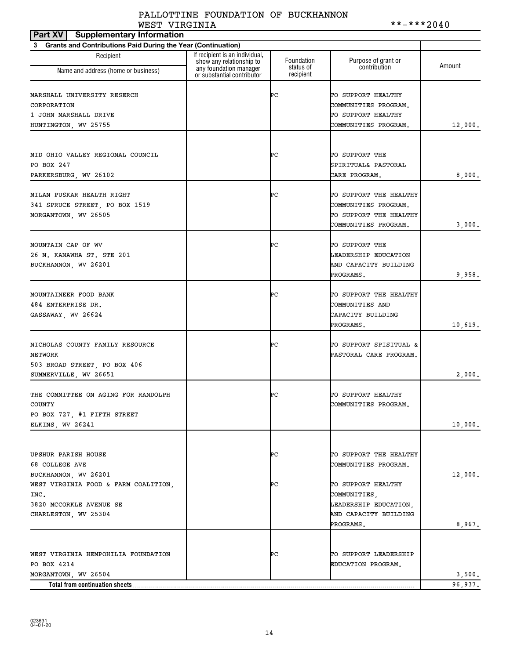# PALLOTTINE FOUNDATION OF BUCKHANNON WEST\_VIRGINIA \*\*\*\*\*2040

| <b>Part XV</b><br><b>Supplementary Information</b>             |                                                            |                        |                        |         |
|----------------------------------------------------------------|------------------------------------------------------------|------------------------|------------------------|---------|
| 3 Grants and Contributions Paid During the Year (Continuation) |                                                            |                        |                        |         |
| Recipient                                                      | If recipient is an individual,<br>show any relationship to | Foundation             | Purpose of grant or    | Amount  |
| Name and address (home or business)                            | any foundation manager<br>or substantial contributor       | status of<br>recipient | contribution           |         |
| MARSHALL UNIVERSITY RESERCH                                    |                                                            | ÞС                     | TO SUPPORT HEALTHY     |         |
| CORPORATION                                                    |                                                            |                        | COMMUNITIES PROGRAM.   |         |
| 1 JOHN MARSHALL DRIVE                                          |                                                            |                        | TO SUPPORT HEALTHY     |         |
| HUNTINGTON, WV 25755                                           |                                                            |                        | COMMUNITIES PROGRAM.   | 12,000. |
|                                                                |                                                            |                        |                        |         |
| MID OHIO VALLEY REGIONAL COUNCIL                               |                                                            | ÞС                     | TO SUPPORT THE         |         |
| PO BOX 247                                                     |                                                            |                        | SPIRITUAL& PASTORAL    |         |
| PARKERSBURG, WV 26102                                          |                                                            |                        | CARE PROGRAM.          | 8,000.  |
| MILAN PUSKAR HEALTH RIGHT                                      |                                                            | ÞС                     | TO SUPPORT THE HEALTHY |         |
| 341 SPRUCE STREET, PO BOX 1519                                 |                                                            |                        | COMMUNITIES PROGRAM.   |         |
| MORGANTOWN, WV 26505                                           |                                                            |                        | TO SUPPORT THE HEALTHY |         |
|                                                                |                                                            |                        | COMMUNITIES PROGRAM.   | 3,000.  |
| MOUNTAIN CAP OF WV                                             |                                                            | ÞС                     | TO SUPPORT THE         |         |
| 26 N. KANAWHA ST. STE 201                                      |                                                            |                        | LEADERSHIP EDUCATION   |         |
| BUCKHANNON, WV 26201                                           |                                                            |                        | AND CAPACITY BUILDING  |         |
|                                                                |                                                            |                        | PROGRAMS.              | 9,958.  |
|                                                                |                                                            |                        |                        |         |
| MOUNTAINEER FOOD BANK                                          |                                                            | ÞС                     | TO SUPPORT THE HEALTHY |         |
| 484 ENTERPRISE DR.                                             |                                                            |                        | COMMUNITIES AND        |         |
| GASSAWAY, WV 26624                                             |                                                            |                        | CAPACITY BUILDING      |         |
|                                                                |                                                            |                        | PROGRAMS.              | 10,619. |
| NICHOLAS COUNTY FAMILY RESOURCE                                |                                                            | ÞС                     | TO SUPPORT SPISITUAL & |         |
| <b>NETWORK</b>                                                 |                                                            |                        | PASTORAL CARE PROGRAM. |         |
| 503 BROAD STREET, PO BOX 406                                   |                                                            |                        |                        |         |
| SUMMERVILLE, WV 26651                                          |                                                            |                        |                        | 2,000.  |
| THE COMMITTEE ON AGING FOR RANDOLPH                            |                                                            | ÞС                     | TO SUPPORT HEALTHY     |         |
| COUNTY                                                         |                                                            |                        | COMMUNITIES PROGRAM.   |         |
| PO BOX 727, #1 FIFTH STREET                                    |                                                            |                        |                        |         |
| ELKINS, WV 26241                                               |                                                            |                        |                        | 10,000. |
|                                                                |                                                            |                        |                        |         |
| UPSHUR PARISH HOUSE                                            |                                                            | ÞС                     | TO SUPPORT THE HEALTHY |         |
| 68 COLLEGE AVE                                                 |                                                            |                        | COMMUNITIES PROGRAM.   |         |
| BUCKHANNON, WV 26201                                           |                                                            |                        |                        | 12,000. |
| WEST VIRGINIA FOOD & FARM COALITION,                           |                                                            | ÞС                     | TO SUPPORT HEALTHY     |         |
| INC.                                                           |                                                            |                        | COMMUNITIES,           |         |
| 3820 MCCORKLE AVENUE SE                                        |                                                            |                        | LEADERSHIP EDUCATION,  |         |
| CHARLESTON, WV 25304                                           |                                                            |                        | AND CAPACITY BUILDING  |         |
|                                                                |                                                            |                        | PROGRAMS.              | 8,967.  |
|                                                                |                                                            |                        |                        |         |
| WEST VIRGINIA HEMPOHILIA FOUNDATION                            |                                                            | ÞС                     | TO SUPPORT LEADERSHIP  |         |
| PO BOX 4214                                                    |                                                            |                        | EDUCATION PROGRAM.     |         |
| MORGANTOWN, WV 26504                                           |                                                            |                        |                        | 3,500.  |
| Total from continuation sheets                                 |                                                            |                        |                        | 96,937. |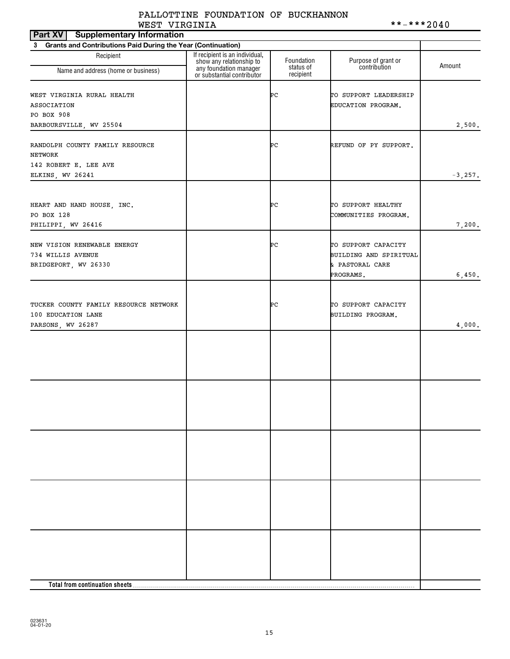# PALLOTTINE FOUNDATION OF BUCKHANNON WEST VIRGINIA \*\*-\*\*\*2040

| Part XV<br><b>Supplementary Information</b>                                        |                                                            |                         |                                                                  |            |
|------------------------------------------------------------------------------------|------------------------------------------------------------|-------------------------|------------------------------------------------------------------|------------|
| <b>Grants and Contributions Paid During the Year (Continuation)</b><br>$3^{\circ}$ |                                                            |                         |                                                                  |            |
| Recipient                                                                          | If recipient is an individual,<br>show any relationship to | Foundation<br>status of | Purpose of grant or<br>contribution                              | Amount     |
| Name and address (home or business)                                                | any foundation manager<br>or substantial contributor       | recipient               |                                                                  |            |
| WEST VIRGINIA RURAL HEALTH<br>ASSOCIATION<br>PO BOX 908                            |                                                            | ÞС                      | TO SUPPORT LEADERSHIP<br>EDUCATION PROGRAM.                      |            |
| BARBOURSVILLE, WV 25504                                                            |                                                            |                         |                                                                  | 2,500.     |
|                                                                                    |                                                            |                         |                                                                  |            |
| RANDOLPH COUNTY FAMILY RESOURCE<br>NETWORK                                         |                                                            | ÞС                      | REFUND OF PY SUPPORT.                                            |            |
| 142 ROBERT E. LEE AVE                                                              |                                                            |                         |                                                                  |            |
| ELKINS, WV 26241                                                                   |                                                            |                         |                                                                  | $-3, 257.$ |
|                                                                                    |                                                            |                         |                                                                  |            |
| HEART AND HAND HOUSE, INC.<br>PO BOX 128                                           |                                                            | ÞС                      | TO SUPPORT HEALTHY<br>COMMUNITIES PROGRAM.                       |            |
| PHILIPPI, WV 26416                                                                 |                                                            |                         |                                                                  | 7,200.     |
| NEW VISION RENEWABLE ENERGY<br>734 WILLIS AVENUE<br>BRIDGEPORT, WV 26330           |                                                            | ÞС                      | TO SUPPORT CAPACITY<br>BUILDING AND SPIRITUAL<br>& PASTORAL CARE |            |
|                                                                                    |                                                            |                         | PROGRAMS.                                                        | 6,450.     |
|                                                                                    |                                                            |                         |                                                                  |            |
| TUCKER COUNTY FAMILY RESOURCE NETWORK<br>100 EDUCATION LANE                        |                                                            | ÞС                      | TO SUPPORT CAPACITY<br>BUILDING PROGRAM.                         |            |
| PARSONS, WV 26287                                                                  |                                                            |                         |                                                                  | 4,000.     |
|                                                                                    |                                                            |                         |                                                                  |            |
|                                                                                    |                                                            |                         |                                                                  |            |
|                                                                                    |                                                            |                         |                                                                  |            |
|                                                                                    |                                                            |                         |                                                                  |            |
|                                                                                    |                                                            |                         |                                                                  |            |
|                                                                                    |                                                            |                         |                                                                  |            |
|                                                                                    |                                                            |                         |                                                                  |            |
|                                                                                    |                                                            |                         |                                                                  |            |
|                                                                                    |                                                            |                         |                                                                  |            |
|                                                                                    |                                                            |                         |                                                                  |            |
|                                                                                    |                                                            |                         |                                                                  |            |
|                                                                                    |                                                            |                         |                                                                  |            |
|                                                                                    |                                                            |                         |                                                                  |            |
|                                                                                    |                                                            |                         |                                                                  |            |
|                                                                                    |                                                            |                         |                                                                  |            |
|                                                                                    |                                                            |                         |                                                                  |            |
| Total from continuation sheets                                                     |                                                            |                         |                                                                  |            |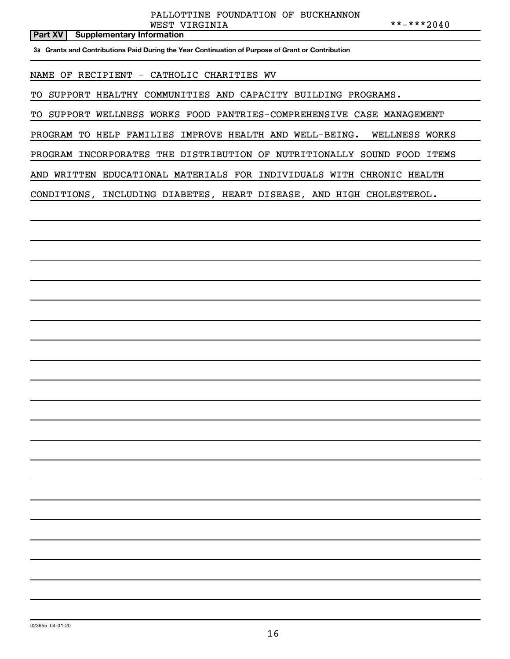# **Part XV Supplementary Information**

**3a Grants and Contributions Paid During the Year Continuation of Purpose of Grant or Contribution**

NAME OF RECIPIENT - CATHOLIC CHARITIES WV

TO SUPPORT HEALTHY COMMUNITIES AND CAPACITY BUILDING PROGRAMS.

TO SUPPORT WELLNESS WORKS FOOD PANTRIES-COMPREHENSIVE CASE MANAGEMENT

PROGRAM TO HELP FAMILIES IMPROVE HEALTH AND WELL-BEING. WELLNESS WORKS

PROGRAM INCORPORATES THE DISTRIBUTION OF NUTRITIONALLY SOUND FOOD ITEMS

AND WRITTEN EDUCATIONAL MATERIALS FOR INDIVIDUALS WITH CHRONIC HEALTH

CONDITIONS, INCLUDING DIABETES, HEART DISEASE, AND HIGH CHOLESTEROL.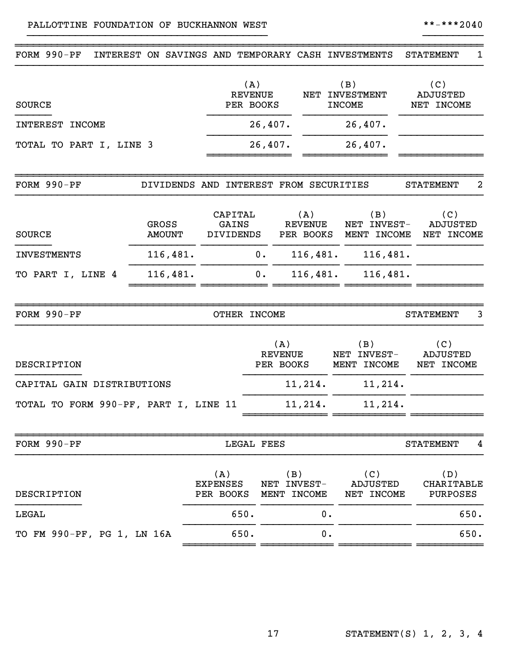| FORM 990-PF                           | INTEREST ON SAVINGS AND TEMPORARY CASH INVESTMENTS |                                      |                                           |                                    |    |                                           | <b>STATEMENT</b><br>1                |
|---------------------------------------|----------------------------------------------------|--------------------------------------|-------------------------------------------|------------------------------------|----|-------------------------------------------|--------------------------------------|
| <b>SOURCE</b>                         |                                                    |                                      | (A)<br><b>REVENUE</b><br>NET<br>PER BOOKS |                                    |    | (B)<br><b>INVESTMENT</b><br><b>INCOME</b> | (C)<br><b>ADJUSTED</b><br>NET INCOME |
| <b>INTEREST</b><br><b>INCOME</b>      |                                                    |                                      | 26,407.                                   |                                    |    | 26,407.                                   |                                      |
| TOTAL TO PART I, LINE 3               |                                                    |                                      | 26,407.                                   |                                    |    | 26,407.                                   |                                      |
| FORM 990-PF                           | DIVIDENDS AND INTEREST FROM SECURITIES             |                                      |                                           |                                    |    |                                           | 2<br><b>STATEMENT</b>                |
| <b>SOURCE</b>                         | GROSS<br><b>AMOUNT</b>                             | CAPITAL<br>GAINS<br><b>DIVIDENDS</b> |                                           | (A)<br><b>REVENUE</b><br>PER BOOKS |    | (B)<br>NET INVEST-<br>MENT INCOME         | (C)<br><b>ADJUSTED</b><br>NET INCOME |
| <b>INVESTMENTS</b>                    | 116,481.                                           |                                      | 0.                                        | 116,481.                           |    | 116,481.                                  |                                      |
| TO PART I, LINE 4                     | 116,481.                                           |                                      | 0.                                        | 116,481.                           |    | 116,481.                                  |                                      |
| FORM 990-PF                           |                                                    |                                      | OTHER INCOME                              |                                    |    |                                           | <b>STATEMENT</b><br>3                |
| DESCRIPTION                           |                                                    |                                      |                                           | (A)<br><b>REVENUE</b><br>PER BOOKS |    | (B)<br>NET INVEST-<br>MENT INCOME         | (C)<br><b>ADJUSTED</b><br>NET INCOME |
| CAPITAL GAIN DISTRIBUTIONS            |                                                    |                                      |                                           | 11,214.                            |    | 11,214.                                   |                                      |
| TOTAL TO FORM 990-PF, PART I, LINE 11 |                                                    |                                      |                                           | 11,214.                            |    | 11,214.                                   |                                      |
| FORM 990-PF                           |                                                    |                                      | LEGAL FEES                                |                                    |    |                                           | <b>STATEMENT</b><br>4                |
| DESCRIPTION                           |                                                    | (A)<br>EXPENSES<br>PER BOOKS         |                                           | (B)<br>NET INVEST-<br>MENT INCOME  |    | (C)<br>ADJUSTED<br>NET INCOME             | (D)<br><b>CHARITABLE</b><br>PURPOSES |
| LEGAL                                 |                                                    |                                      | 650.                                      |                                    | 0. |                                           | 650.                                 |
| TO FM 990-PF, PG 1, LN 16A            |                                                    |                                      | 650.                                      |                                    | 0. |                                           | 650.                                 |

}}}}}}}}}}}}}}}}}}}}}}}}}}}}}}}}}}}}}}}} }}}}}}}}}}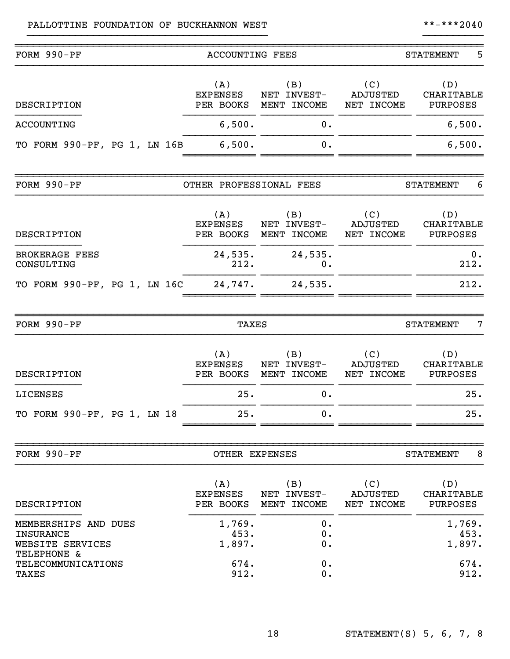# PALLOTTINE FOUNDATION OF BUCKHANNON WEST \*\*-\*\*\*\*2040

| FORM 990-PF                                                                 | <b>ACCOUNTING FEES</b>              |                                   | 5<br><b>STATEMENT</b>                |                                      |  |
|-----------------------------------------------------------------------------|-------------------------------------|-----------------------------------|--------------------------------------|--------------------------------------|--|
| DESCRIPTION                                                                 | (A)<br><b>EXPENSES</b><br>PER BOOKS | (B)<br>NET INVEST-<br>MENT INCOME | (C)<br><b>ADJUSTED</b><br>NET INCOME | (D)<br>CHARITABLE<br>PURPOSES        |  |
| <b>ACCOUNTING</b>                                                           | 6,500.                              | 0.                                |                                      | 6,500.                               |  |
| TO FORM 990-PF, PG 1, LN 16B                                                | 6,500.                              | 0.                                |                                      | 6,500.                               |  |
| FORM 990-PF                                                                 | OTHER PROFESSIONAL FEES             |                                   |                                      | <b>STATEMENT</b><br>6                |  |
| DESCRIPTION                                                                 | (A)<br><b>EXPENSES</b><br>PER BOOKS | (B)<br>NET INVEST-<br>MENT INCOME | (C)<br><b>ADJUSTED</b><br>NET INCOME | (D)<br>CHARITABLE<br>PURPOSES        |  |
| <b>BROKERAGE FEES</b><br>CONSULTING                                         | 24,535.<br>212.                     | 24,535.<br>0.                     |                                      | 0.<br>212.                           |  |
| TO FORM 990-PF, PG 1, LN 16C                                                | 24,747.                             | 24,535.                           |                                      | 212.                                 |  |
| FORM 990-PF                                                                 | <b>TAXES</b>                        |                                   |                                      | 7<br><b>STATEMENT</b>                |  |
| DESCRIPTION                                                                 | (A)<br><b>EXPENSES</b><br>PER BOOKS | (B)<br>NET INVEST-<br>MENT INCOME | (C)<br>ADJUSTED<br>NET INCOME        | (D)<br>CHARITABLE<br>PURPOSES        |  |
| LICENSES                                                                    | 25.                                 | 0.                                |                                      | 25.                                  |  |
| TO FORM 990-PF, PG 1, LN 18                                                 | 25                                  | $\mathbf{0}$                      |                                      | 25.                                  |  |
| FORM 990-PF                                                                 | OTHER EXPENSES                      |                                   |                                      | 8<br><b>STATEMENT</b>                |  |
| DESCRIPTION                                                                 | (A)<br><b>EXPENSES</b><br>PER BOOKS | (B)<br>NET INVEST-<br>MENT INCOME | (C)<br>ADJUSTED<br>NET INCOME        | (D)<br><b>CHARITABLE</b><br>PURPOSES |  |
| MEMBERSHIPS AND DUES<br><b>INSURANCE</b><br>WEBSITE SERVICES<br>TELEPHONE & | 1,769.<br>453.<br>1,897.            | 0.<br>0.<br>0.                    |                                      | 1,769.<br>453.<br>1,897.             |  |
| <b>TELECOMMUNICATIONS</b><br><b>TAXES</b>                                   | 674.<br>912.                        | 0.<br>0.                          |                                      | 674.<br>912.                         |  |

}}}}}}}}}}}}}}}}}}}}}}}}}}}}}}}}}}}}}}}} }}}}}}}}}}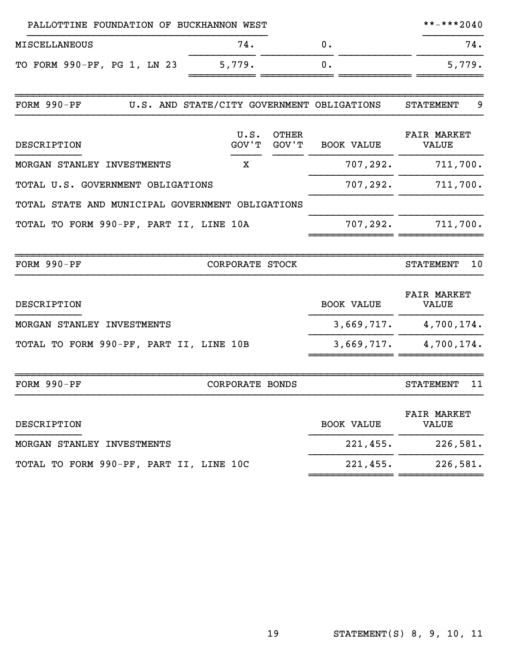| PALLOTTINE FOUNDATION OF BUCKHANNON WEST         |                        |                       |                                            | **-***2040                         |
|--------------------------------------------------|------------------------|-----------------------|--------------------------------------------|------------------------------------|
| <b>MISCELLANEOUS</b>                             | 74.                    |                       | 0.                                         | 74.                                |
| TO FORM 990-PF, PG 1, LN 23                      | 5,779.                 |                       | 0.                                         | 5,779.                             |
| FORM 990-PF                                      |                        |                       | U.S. AND STATE/CITY GOVERNMENT OBLIGATIONS | <b>STATEMENT</b><br>9              |
| DESCRIPTION                                      | U.S.<br>GOV'T          | <b>OTHER</b><br>GOV'T | <b>BOOK VALUE</b>                          | <b>FAIR MARKET</b><br><b>VALUE</b> |
| MORGAN STANLEY INVESTMENTS                       | х                      |                       | 707,292.                                   | 711,700.                           |
| TOTAL U.S. GOVERNMENT OBLIGATIONS                |                        |                       | 707,292.                                   | 711,700.                           |
| TOTAL STATE AND MUNICIPAL GOVERNMENT OBLIGATIONS |                        |                       |                                            |                                    |
| TOTAL TO FORM 990-PF, PART II, LINE 10A          |                        |                       | 707,292.                                   | 711,700.                           |
| FORM 990-PF                                      | CORPORATE STOCK        |                       |                                            | 10<br><b>STATEMENT</b>             |
| DESCRIPTION                                      |                        |                       | <b>BOOK VALUE</b>                          | <b>FAIR MARKET</b><br><b>VALUE</b> |
| MORGAN STANLEY INVESTMENTS                       |                        |                       | 3,669,717.                                 | 4,700,174.                         |
| TOTAL TO FORM 990-PF, PART II, LINE 10B          |                        |                       | 3,669,717.                                 | 4,700,174.                         |
| FORM 990-PF                                      | <b>CORPORATE BONDS</b> |                       |                                            | 11<br><b>STATEMENT</b>             |
| DESCRIPTION                                      |                        |                       | <b>BOOK VALUE</b>                          | <b>FAIR MARKET</b><br>VALUE        |
| MORGAN STANLEY INVESTMENTS                       |                        |                       | 221,455.                                   | 226,581.                           |
| TOTAL TO FORM 990-PF, PART II, LINE 10C          |                        |                       | 221,455.                                   | 226,581.                           |

~~~~~~~~~~~~~~ ~~~~~~~~~~~~~~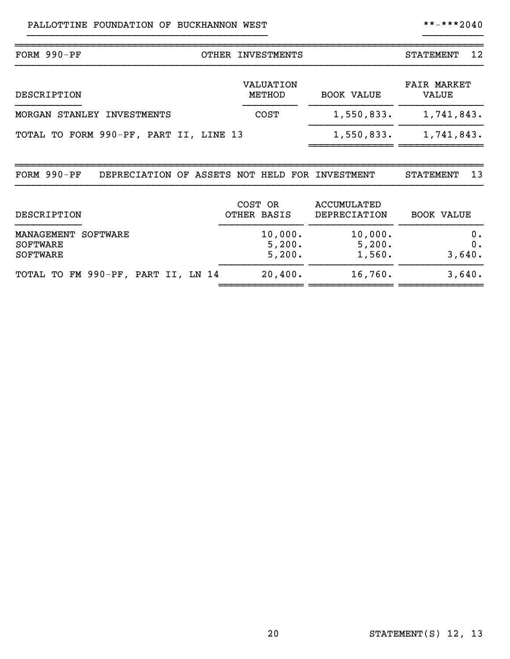| FORM $990-PF$                                                   | OTHER INVESTMENTS           |                                    | 12<br><b>STATEMENT</b>             |  |  |
|-----------------------------------------------------------------|-----------------------------|------------------------------------|------------------------------------|--|--|
| DESCRIPTION                                                     | <b>VALUATION</b><br>METHOD  | <b>BOOK VALUE</b>                  | <b>FAIR MARKET</b><br><b>VALUE</b> |  |  |
| STANLEY<br><b>INVESTMENTS</b><br>MORGAN                         | <b>COST</b>                 | 1,550,833.                         | 1,741,843.                         |  |  |
| TOTAL TO FORM 990-PF, PART II, LINE 13                          |                             | 1,550,833.                         | 1,741,843.                         |  |  |
| FORM $990-PF$<br>DEPRECIATION OF ASSETS NOT HELD FOR INVESTMENT |                             |                                    | 13<br><b>STATEMENT</b>             |  |  |
| DESCRIPTION                                                     | COST OR<br>OTHER BASIS      | <b>ACCUMULATED</b><br>DEPRECIATION | <b>BOOK VALUE</b>                  |  |  |
| MANAGEMENT<br>SOFTWARE<br><b>SOFTWARE</b><br><b>SOFTWARE</b>    | 10,000.<br>5,200.<br>5,200. | 10,000.<br>5,200.<br>1,560.        | 0.<br>0.<br>3,640.                 |  |  |
| TOTAL TO FM 990-PF, PART II, LN 14                              | 20,400.                     | 16,760.                            | 3,640.                             |  |  |

}}}}}}}}}}}}}}}}}}}}}}}}}}}}}}}}}}}}}}}} }}}}}}}}}}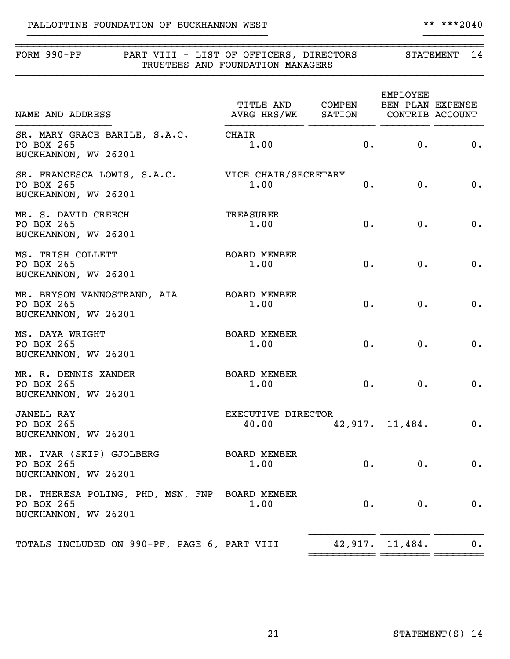| FORM 990-PF<br>PART VIII - LIST OF OFFICERS, DIRECTORS                               | TRUSTEES AND FOUNDATION MANAGERS                                         |       |                 | STATEMENT 14 |
|--------------------------------------------------------------------------------------|--------------------------------------------------------------------------|-------|-----------------|--------------|
| NAME AND ADDRESS                                                                     | TITLE AND COMPEN- BEN PLAN EXPENSE<br>AVRG HRS/WK SATION CONTRIB ACCOUNT |       | <b>EMPLOYEE</b> |              |
| SR. MARY GRACE BARILE, S.A.C.<br>PO BOX 265<br>BUCKHANNON, WV 26201                  | CHAIR<br>1.00                                                            | 0.    | 0.              | 0.           |
| SR. FRANCESCA LOWIS, S.A.C.<br>PO BOX 265<br>BUCKHANNON, WV 26201                    | VICE CHAIR/SECRETARY<br>1.00                                             | 0.    | $0$ .           | 0.           |
| MR. S. DAVID CREECH<br>PO BOX 265<br>BUCKHANNON, WV 26201                            | <b>TREASURER</b><br>1.00                                                 | $0$ . | 0.              | 0.           |
| MS. TRISH COLLETT<br>PO BOX 265<br>BUCKHANNON, WV 26201                              | <b>BOARD MEMBER</b><br>1.00                                              | $0$ . | $0$ .           | 0.           |
| MR. BRYSON VANNOSTRAND, AIA<br>PO BOX 265<br>BUCKHANNON, WV 26201                    | <b>BOARD MEMBER</b><br>1.00                                              | $0$ . | 0.              | 0.           |
| MS. DAYA WRIGHT<br>PO BOX 265<br>BUCKHANNON, WV 26201                                | <b>BOARD MEMBER</b><br>1.00                                              | $0$ . | 0.              | 0.           |
| MR. R. DENNIS XANDER<br>PO BOX 265<br>BUCKHANNON, WV 26201                           | <b>BOARD MEMBER</b><br>1.00                                              | $0$ . | $0$ .           | 0.           |
| <b>JANELL RAY</b><br>PO BOX 265<br>BUCKHANNON, WV 26201                              | EXECUTIVE DIRECTOR<br>40.00                                              |       | 42,917. 11,484. | 0.           |
| MR. IVAR (SKIP) GJOLBERG<br>PO BOX 265<br>BUCKHANNON, WV 26201                       | BOARD MEMBER<br>1.00                                                     | $0$ . | $0$ .           | 0.           |
| DR. THERESA POLING, PHD, MSN, FNP BOARD MEMBER<br>PO BOX 265<br>BUCKHANNON, WV 26201 | 1.00                                                                     | 0.    | $0$ .           | 0.           |
| TOTALS INCLUDED ON 990-PF, PAGE 6, PART VIII                                         |                                                                          |       | 42,917. 11,484. | 0.           |

}}}}}}}}}}}}}}}}}}}}}}}}}}}}}}}}}}}}}}}} }}}}}}}}}}

~~~~~~~~~~~ ~~~~~~~~ ~~~~~~~~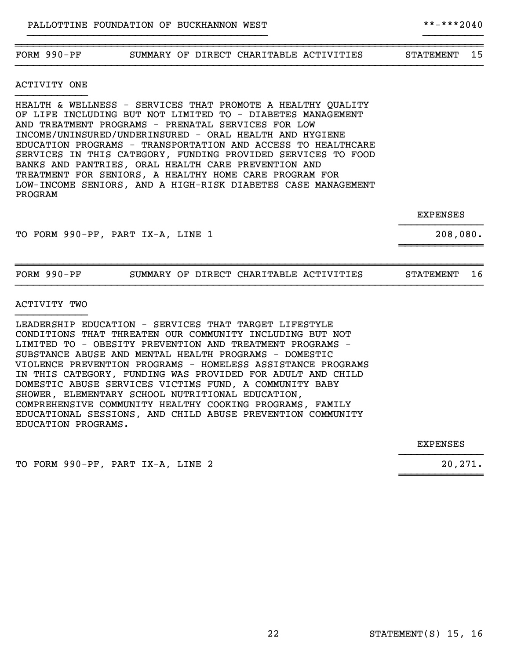# ~~~~~~~~~~~~~~~~~~~~~~~~~~~~~~~~~~~~~~~~~~~~~~~~~~~~~~~~~~~~~~~~~~~~~~~~~~~~~~ FORM 990-PF SUMMARY OF DIRECT CHARITABLE ACTIVITIES STATEMENT 15 }}}}}}}}}}}}}}}}}}}}}}}}}}}}}}}}}}}}}}}}}}}}}}}}}}}}}}}}}}}}}}}}}}}}}}}}}}}}}}

}}}}}}}}}}}}}}}}}}}}}}}}}}}}}}}}}}}}}}}} }}}}}}}}}}

ACTIVITY ONE }}}}}}}}}}}}

HEALTH & WELLNESS - SERVICES THAT PROMOTE A HEALTHY QUALITY OF LIFE INCLUDING BUT NOT LIMITED TO - DIABETES MANAGEMENT AND TREATMENT PROGRAMS - PRENATAL SERVICES FOR LOW INCOME/UNINSURED/UNDERINSURED - ORAL HEALTH AND HYGIENE EDUCATION PROGRAMS - TRANSPORTATION AND ACCESS TO HEALTHCARE SERVICES IN THIS CATEGORY, FUNDING PROVIDED SERVICES TO FOOD BANKS AND PANTRIES, ORAL HEALTH CARE PREVENTION AND TREATMENT FOR SENIORS, A HEALTHY HOME CARE PROGRAM FOR LOW-INCOME SENIORS, AND A HIGH-RISK DIABETES CASE MANAGEMENT PROGRAM

> EXPENSES }}}}}}}}}}}}}}

TO FORM 990-PF, PART IX-A, LINE 1 208,080.

~~~~~~~~~~~~~~

| FORM | $990-DP$ | SUMMARY | DЕ | DIRECT | CHARTTARLE. | IES<br>ACT J | ⊿EN‴<br>eп<br>'н м<br>'A'I | - |
|------|----------|---------|----|--------|-------------|--------------|----------------------------|---|
|      |          |         |    |        |             |              |                            |   |

ACTIVITY TWO }}}}}}}}}}}}

LEADERSHIP EDUCATION - SERVICES THAT TARGET LIFESTYLE CONDITIONS THAT THREATEN OUR COMMUNITY INCLUDING BUT NOT LIMITED TO - OBESITY PREVENTION AND TREATMENT PROGRAMS - SUBSTANCE ABUSE AND MENTAL HEALTH PROGRAMS - DOMESTIC VIOLENCE PREVENTION PROGRAMS - HOMELESS ASSISTANCE PROGRAMS IN THIS CATEGORY, FUNDING WAS PROVIDED FOR ADULT AND CHILD DOMESTIC ABUSE SERVICES VICTIMS FUND, A COMMUNITY BABY SHOWER, ELEMENTARY SCHOOL NUTRITIONAL EDUCATION, COMPREHENSIVE COMMUNITY HEALTHY COOKING PROGRAMS, FAMILY EDUCATIONAL SESSIONS, AND CHILD ABUSE PREVENTION COMMUNITY EDUCATION PROGRAMS.

> EXPENSES }}}}}}}}}}}}}}

> ~~~~~~~~~~~~~~

TO FORM 990-PF, PART IX-A, LINE 2 20,271.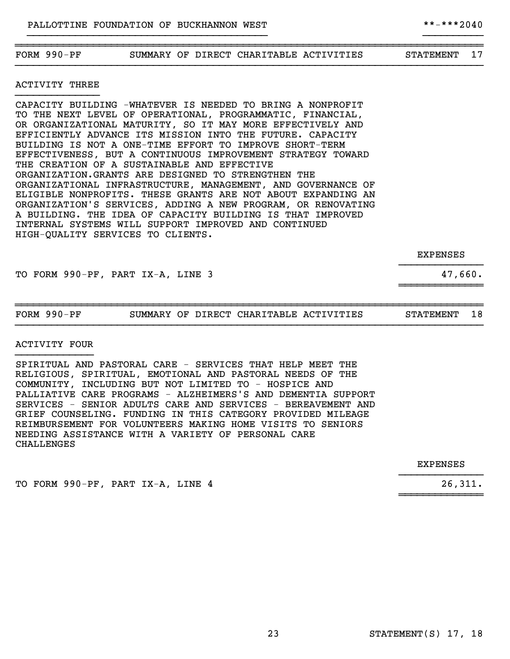# FORM 990-PF SUMMARY OF DIRECT CHARITABLE ACTIVITIES STATEMENT 17

~~~~~~~~~~~~~~~~~~~~~~~~~~~~~~~~~~~~~~~~~~~~~~~~~~~~~~~~~~~~~~~~~~~~~~~~~~~~~~

}}}}}}}}}}}}}}}}}}}}}}}}}}}}}}}}}}}}}}}} }}}}}}}}}}

}}}}}}}}}}}}}}}}}}}}}}}}}}}}}}}}}}}}}}}}}}}}}}}}}}}}}}}}}}}}}}}}}}}}}}}}}}}}}}

## ACTIVITY THREE }}}}}}}}}}}}}}

CAPACITY BUILDING -WHATEVER IS NEEDED TO BRING A NONPROFIT TO THE NEXT LEVEL OF OPERATIONAL, PROGRAMMATIC, FINANCIAL, OR ORGANIZATIONAL MATURITY, SO IT MAY MORE EFFECTIVELY AND EFFICIENTLY ADVANCE ITS MISSION INTO THE FUTURE. CAPACITY BUILDING IS NOT A ONE-TIME EFFORT TO IMPROVE SHORT-TERM EFFECTIVENESS, BUT A CONTINUOUS IMPROVEMENT STRATEGY TOWARD THE CREATION OF A SUSTAINABLE AND EFFECTIVE ORGANIZATION.GRANTS ARE DESIGNED TO STRENGTHEN THE ORGANIZATIONAL INFRASTRUCTURE, MANAGEMENT, AND GOVERNANCE OF ELIGIBLE NONPROFITS. THESE GRANTS ARE NOT ABOUT EXPANDING AN ORGANIZATION'S SERVICES, ADDING A NEW PROGRAM, OR RENOVATING A BUILDING. THE IDEA OF CAPACITY BUILDING IS THAT IMPROVED INTERNAL SYSTEMS WILL SUPPORT IMPROVED AND CONTINUED HIGH-QUALITY SERVICES TO CLIENTS.

EXPENSES

~~~~~~~~~~~~~~

TO FORM 990-PF, PART IX-A, LINE 3 47,660.

~~~~~~~~~~~~~~~~~~~~~~~~~~~~~~~~~~~~~~~~~~~~~~~~~~~~~~~~~~~~~~~~~~~~~~~~~~~~~~ FORM 990-PF SUMMARY OF DIRECT CHARITABLE ACTIVITIES STATEMENT 18 }}}}}}}}}}}}}}}}}}}}}}}}}}}}}}}}}}}}}}}}}}}}}}}}}}}}}}}}}}}}}}}}}}}}}}}}}}}}}}

#### ACTIVITY FOUR }}}}}}}}}}}}}

SPIRITUAL AND PASTORAL CARE - SERVICES THAT HELP MEET THE RELIGIOUS, SPIRITUAL, EMOTIONAL AND PASTORAL NEEDS OF THE COMMUNITY, INCLUDING BUT NOT LIMITED TO - HOSPICE AND PALLIATIVE CARE PROGRAMS - ALZHEIMERS'S AND DEMENTIA SUPPORT SERVICES - SENIOR ADULTS CARE AND SERVICES - BEREAVEMENT AND GRIEF COUNSELING. FUNDING IN THIS CATEGORY PROVIDED MILEAGE REIMBURSEMENT FOR VOLUNTEERS MAKING HOME VISITS TO SENIORS NEEDING ASSISTANCE WITH A VARIETY OF PERSONAL CARE CHALLENGES

> EXPENSES }}}}}}}}}}}}}}

> ~~~~~~~~~~~~~~

TO FORM 990-PF, PART IX-A, LINE 4 26,311.

}}}}}}}}}}}}}}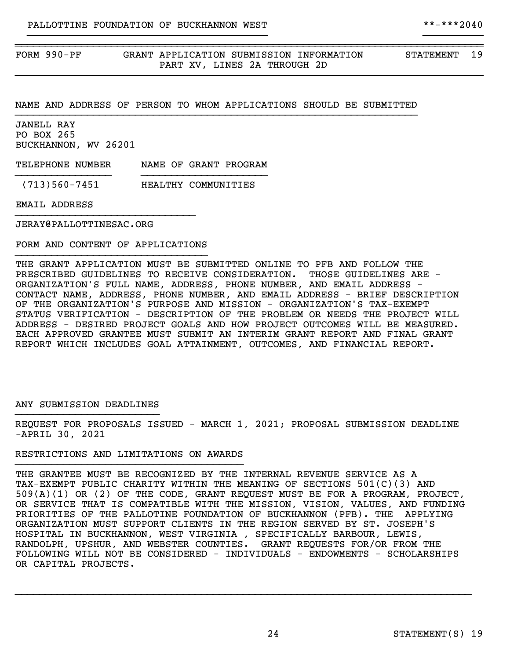~~~~~~~~~~~~~~~~~~~~~~~~~~~~~~~~~~~~~~~~~~~~~~~~~~~~~~~~~~~~~~~~~~~~~~~~~~~~~~

NAME AND ADDRESS OF PERSON TO WHOM APPLICATIONS SHOULD BE SUBMITTED }}}}}}}}}}}}}}}}}}}}}}}}}}}}}}}}}}}}}}}}}}}}}}}}}}}}}}}}}}}}}}}}}}}

JANELL RAY PO BOX 265 BUCKHANNON, WV 26201

TELEPHONE NUMBER NAME OF GRANT PROGRAM }}}}}}}}}}}}}}}} }}}}}}}}}}}}}}}}}}}}}

(713)560-7451 HEALTHY COMMUNITIES

EMAIL ADDRESS

JERAY@PALLOTTINESAC.ORG

FORM AND CONTENT OF APPLICATIONS }}}}}}}}}}}}}}}}}}}}}}}}}}}}}}}}

}}}}}}}}}}}}}}}}}}}}}}}}}}}}}}

THE GRANT APPLICATION MUST BE SUBMITTED ONLINE TO PFB AND FOLLOW THE PRESCRIBED GUIDELINES TO RECEIVE CONSIDERATION. THOSE GUIDELINES ARE - ORGANIZATION'S FULL NAME, ADDRESS, PHONE NUMBER, AND EMAIL ADDRESS - CONTACT NAME, ADDRESS, PHONE NUMBER, AND EMAIL ADDRESS - BRIEF DESCRIPTION OF THE ORGANIZATION'S PURPOSE AND MISSION - ORGANIZATION'S TAX-EXEMPT STATUS VERIFICATION - DESCRIPTION OF THE PROBLEM OR NEEDS THE PROJECT WILL ADDRESS - DESIRED PROJECT GOALS AND HOW PROJECT OUTCOMES WILL BE MEASURED. EACH APPROVED GRANTEE MUST SUBMIT AN INTERIM GRANT REPORT AND FINAL GRANT REPORT WHICH INCLUDES GOAL ATTAINMENT, OUTCOMES, AND FINANCIAL REPORT.

## ANY SUBMISSION DEADLINES }}}}}}}}}}}}}}}}}}}}}}}}

REQUEST FOR PROPOSALS ISSUED - MARCH 1, 2021; PROPOSAL SUBMISSION DEADLINE -APRIL 30, 2021

## RESTRICTIONS AND LIMITATIONS ON AWARDS }}}}}}}}}}}}}}}}}}}}}}}}}}}}}}}}}}}}}}

THE GRANTEE MUST BE RECOGNIZED BY THE INTERNAL REVENUE SERVICE AS A TAX-EXEMPT PUBLIC CHARITY WITHIN THE MEANING OF SECTIONS 501(C)(3) AND 509(A)(1) OR (2) OF THE CODE, GRANT REQUEST MUST BE FOR A PROGRAM, PROJECT, OR SERVICE THAT IS COMPATIBLE WITH THE MISSION, VISION, VALUES, AND FUNDING PRIORITIES OF THE PALLOTINE FOUNDATION OF BUCKHANNON (PFB). THE APPLYING ORGANIZATION MUST SUPPORT CLIENTS IN THE REGION SERVED BY ST. JOSEPH'S HOSPITAL IN BUCKHANNON, WEST VIRGINIA , SPECIFICALLY BARBOUR, LEWIS, RANDOLPH, UPSHUR, AND WEBSTER COUNTIES. GRANT REQUESTS FOR/OR FROM THE FOLLOWING WILL NOT BE CONSIDERED - INDIVIDUALS - ENDOWMENTS - SCHOLARSHIPS OR CAPITAL PROJECTS.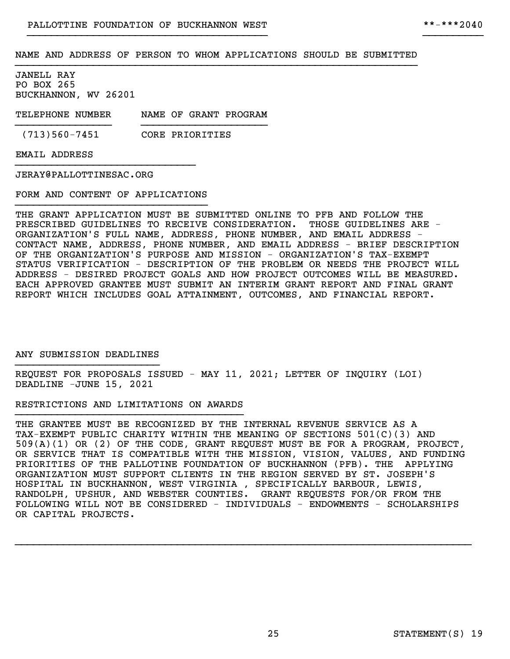}}}}}}}}}}}}}}}}}}}}}}}}}}}}}}}}}}}}}}}} }}}}}}}}}}

JANELL RAY PO BOX 265 BUCKHANNON, WV 26201

TELEPHONE NUMBER NAME OF GRANT PROGRAM }}}}}}}}}}}}}}}} }}}}}}}}}}}}}}}}}}}}}

(713)560-7451 CORE PRIORITIES

EMAIL ADDRESS

JERAY@PALLOTTINESAC.ORG

FORM AND CONTENT OF APPLICATIONS }}}}}}}}}}}}}}}}}}}}}}}}}}}}}}}}

}}}}}}}}}}}}}}}}}}}}}}}}}}}}}}

THE GRANT APPLICATION MUST BE SUBMITTED ONLINE TO PFB AND FOLLOW THE PRESCRIBED GUIDELINES TO RECEIVE CONSIDERATION. THOSE GUIDELINES ARE - ORGANIZATION'S FULL NAME, ADDRESS, PHONE NUMBER, AND EMAIL ADDRESS - CONTACT NAME, ADDRESS, PHONE NUMBER, AND EMAIL ADDRESS - BRIEF DESCRIPTION OF THE ORGANIZATION'S PURPOSE AND MISSION - ORGANIZATION'S TAX-EXEMPT STATUS VERIFICATION - DESCRIPTION OF THE PROBLEM OR NEEDS THE PROJECT WILL ADDRESS - DESIRED PROJECT GOALS AND HOW PROJECT OUTCOMES WILL BE MEASURED. EACH APPROVED GRANTEE MUST SUBMIT AN INTERIM GRANT REPORT AND FINAL GRANT REPORT WHICH INCLUDES GOAL ATTAINMENT, OUTCOMES, AND FINANCIAL REPORT.

ANY SUBMISSION DEADLINES }}}}}}}}}}}}}}}}}}}}}}}}

REQUEST FOR PROPOSALS ISSUED - MAY 11, 2021; LETTER OF INQUIRY (LOI) DEADLINE -JUNE 15, 2021

RESTRICTIONS AND LIMITATIONS ON AWARDS }}}}}}}}}}}}}}}}}}}}}}}}}}}}}}}}}}}}}}

THE GRANTEE MUST BE RECOGNIZED BY THE INTERNAL REVENUE SERVICE AS A TAX-EXEMPT PUBLIC CHARITY WITHIN THE MEANING OF SECTIONS 501(C)(3) AND 509(A)(1) OR (2) OF THE CODE, GRANT REQUEST MUST BE FOR A PROGRAM, PROJECT, OR SERVICE THAT IS COMPATIBLE WITH THE MISSION, VISION, VALUES, AND FUNDING PRIORITIES OF THE PALLOTINE FOUNDATION OF BUCKHANNON (PFB). THE APPLYING ORGANIZATION MUST SUPPORT CLIENTS IN THE REGION SERVED BY ST. JOSEPH'S HOSPITAL IN BUCKHANNON, WEST VIRGINIA , SPECIFICALLY BARBOUR, LEWIS, RANDOLPH, UPSHUR, AND WEBSTER COUNTIES. GRANT REQUESTS FOR/OR FROM THE FOLLOWING WILL NOT BE CONSIDERED - INDIVIDUALS - ENDOWMENTS - SCHOLARSHIPS OR CAPITAL PROJECTS.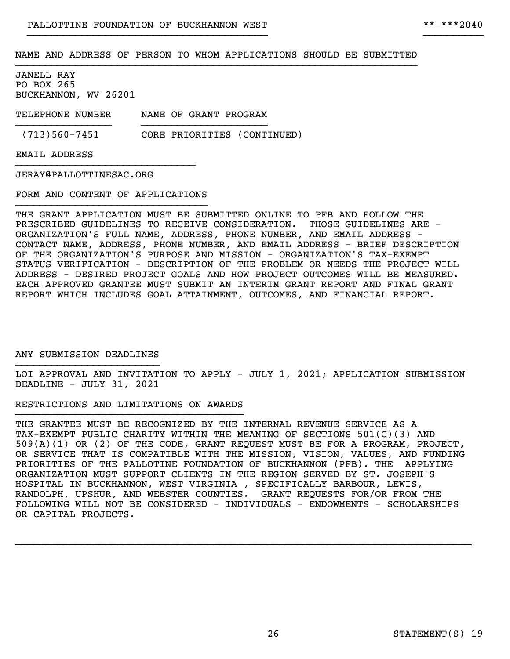}}}}}}}}}}}}}}}}}}}}}}}}}}}}}}}}}}}}}}}} }}}}}}}}}}

JANELL RAY PO BOX 265 BUCKHANNON, WV 26201

TELEPHONE NUMBER NAME OF GRANT PROGRAM }}}}}}}}}}}}}}}} }}}}}}}}}}}}}}}}}}}}}

(713)560-7451 CORE PRIORITIES (CONTINUED)

EMAIL ADDRESS

JERAY@PALLOTTINESAC.ORG

FORM AND CONTENT OF APPLICATIONS }}}}}}}}}}}}}}}}}}}}}}}}}}}}}}}}

}}}}}}}}}}}}}}}}}}}}}}}}}}}}}}

THE GRANT APPLICATION MUST BE SUBMITTED ONLINE TO PFB AND FOLLOW THE PRESCRIBED GUIDELINES TO RECEIVE CONSIDERATION. THOSE GUIDELINES ARE - ORGANIZATION'S FULL NAME, ADDRESS, PHONE NUMBER, AND EMAIL ADDRESS - CONTACT NAME, ADDRESS, PHONE NUMBER, AND EMAIL ADDRESS - BRIEF DESCRIPTION OF THE ORGANIZATION'S PURPOSE AND MISSION - ORGANIZATION'S TAX-EXEMPT STATUS VERIFICATION - DESCRIPTION OF THE PROBLEM OR NEEDS THE PROJECT WILL ADDRESS - DESIRED PROJECT GOALS AND HOW PROJECT OUTCOMES WILL BE MEASURED. EACH APPROVED GRANTEE MUST SUBMIT AN INTERIM GRANT REPORT AND FINAL GRANT REPORT WHICH INCLUDES GOAL ATTAINMENT, OUTCOMES, AND FINANCIAL REPORT.

ANY SUBMISSION DEADLINES }}}}}}}}}}}}}}}}}}}}}}}}

LOI APPROVAL AND INVITATION TO APPLY - JULY 1, 2021; APPLICATION SUBMISSION DEADLINE - JULY 31, 2021

RESTRICTIONS AND LIMITATIONS ON AWARDS }}}}}}}}}}}}}}}}}}}}}}}}}}}}}}}}}}}}}}

THE GRANTEE MUST BE RECOGNIZED BY THE INTERNAL REVENUE SERVICE AS A TAX-EXEMPT PUBLIC CHARITY WITHIN THE MEANING OF SECTIONS 501(C)(3) AND 509(A)(1) OR (2) OF THE CODE, GRANT REQUEST MUST BE FOR A PROGRAM, PROJECT, OR SERVICE THAT IS COMPATIBLE WITH THE MISSION, VISION, VALUES, AND FUNDING PRIORITIES OF THE PALLOTINE FOUNDATION OF BUCKHANNON (PFB). THE APPLYING ORGANIZATION MUST SUPPORT CLIENTS IN THE REGION SERVED BY ST. JOSEPH'S HOSPITAL IN BUCKHANNON, WEST VIRGINIA , SPECIFICALLY BARBOUR, LEWIS, RANDOLPH, UPSHUR, AND WEBSTER COUNTIES. GRANT REQUESTS FOR/OR FROM THE FOLLOWING WILL NOT BE CONSIDERED - INDIVIDUALS - ENDOWMENTS - SCHOLARSHIPS OR CAPITAL PROJECTS.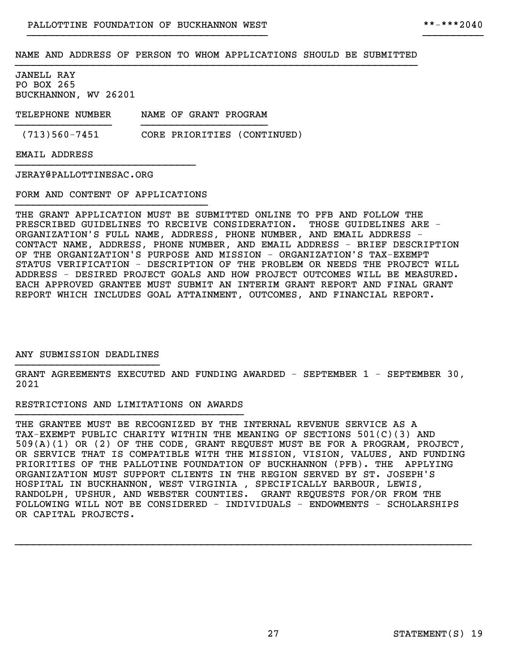}}}}}}}}}}}}}}}}}}}}}}}}}}}}}}}}}}}}}}}} }}}}}}}}}}

JANELL RAY PO BOX 265 BUCKHANNON, WV 26201

TELEPHONE NUMBER NAME OF GRANT PROGRAM }}}}}}}}}}}}}}}} }}}}}}}}}}}}}}}}}}}}}

(713)560-7451 CORE PRIORITIES (CONTINUED)

EMAIL ADDRESS

JERAY@PALLOTTINESAC.ORG

FORM AND CONTENT OF APPLICATIONS }}}}}}}}}}}}}}}}}}}}}}}}}}}}}}}}

}}}}}}}}}}}}}}}}}}}}}}}}}}}}}}

THE GRANT APPLICATION MUST BE SUBMITTED ONLINE TO PFB AND FOLLOW THE PRESCRIBED GUIDELINES TO RECEIVE CONSIDERATION. THOSE GUIDELINES ARE - ORGANIZATION'S FULL NAME, ADDRESS, PHONE NUMBER, AND EMAIL ADDRESS - CONTACT NAME, ADDRESS, PHONE NUMBER, AND EMAIL ADDRESS - BRIEF DESCRIPTION OF THE ORGANIZATION'S PURPOSE AND MISSION - ORGANIZATION'S TAX-EXEMPT STATUS VERIFICATION - DESCRIPTION OF THE PROBLEM OR NEEDS THE PROJECT WILL ADDRESS - DESIRED PROJECT GOALS AND HOW PROJECT OUTCOMES WILL BE MEASURED. EACH APPROVED GRANTEE MUST SUBMIT AN INTERIM GRANT REPORT AND FINAL GRANT REPORT WHICH INCLUDES GOAL ATTAINMENT, OUTCOMES, AND FINANCIAL REPORT.

ANY SUBMISSION DEADLINES }}}}}}}}}}}}}}}}}}}}}}}}

GRANT AGREEMENTS EXECUTED AND FUNDING AWARDED - SEPTEMBER 1 - SEPTEMBER 30, 2021

RESTRICTIONS AND LIMITATIONS ON AWARDS }}}}}}}}}}}}}}}}}}}}}}}}}}}}}}}}}}}}}}

THE GRANTEE MUST BE RECOGNIZED BY THE INTERNAL REVENUE SERVICE AS A TAX-EXEMPT PUBLIC CHARITY WITHIN THE MEANING OF SECTIONS 501(C)(3) AND 509(A)(1) OR (2) OF THE CODE, GRANT REQUEST MUST BE FOR A PROGRAM, PROJECT, OR SERVICE THAT IS COMPATIBLE WITH THE MISSION, VISION, VALUES, AND FUNDING PRIORITIES OF THE PALLOTINE FOUNDATION OF BUCKHANNON (PFB). THE APPLYING ORGANIZATION MUST SUPPORT CLIENTS IN THE REGION SERVED BY ST. JOSEPH'S HOSPITAL IN BUCKHANNON, WEST VIRGINIA , SPECIFICALLY BARBOUR, LEWIS, RANDOLPH, UPSHUR, AND WEBSTER COUNTIES. GRANT REQUESTS FOR/OR FROM THE FOLLOWING WILL NOT BE CONSIDERED - INDIVIDUALS - ENDOWMENTS - SCHOLARSHIPS OR CAPITAL PROJECTS.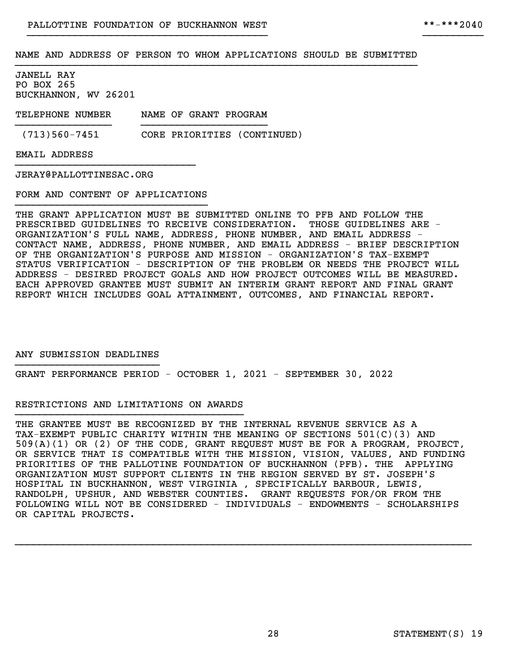}}}}}}}}}}}}}}}}}}}}}}}}}}}}}}}}}}}}}}}} }}}}}}}}}}

JANELL RAY PO BOX 265 BUCKHANNON, WV 26201

TELEPHONE NUMBER NAME OF GRANT PROGRAM }}}}}}}}}}}}}}}} }}}}}}}}}}}}}}}}}}}}}

(713)560-7451 CORE PRIORITIES (CONTINUED)

EMAIL ADDRESS

JERAY@PALLOTTINESAC.ORG

FORM AND CONTENT OF APPLICATIONS }}}}}}}}}}}}}}}}}}}}}}}}}}}}}}}}

}}}}}}}}}}}}}}}}}}}}}}}}}}}}}}

THE GRANT APPLICATION MUST BE SUBMITTED ONLINE TO PFB AND FOLLOW THE PRESCRIBED GUIDELINES TO RECEIVE CONSIDERATION. THOSE GUIDELINES ARE - ORGANIZATION'S FULL NAME, ADDRESS, PHONE NUMBER, AND EMAIL ADDRESS - CONTACT NAME, ADDRESS, PHONE NUMBER, AND EMAIL ADDRESS - BRIEF DESCRIPTION OF THE ORGANIZATION'S PURPOSE AND MISSION - ORGANIZATION'S TAX-EXEMPT STATUS VERIFICATION - DESCRIPTION OF THE PROBLEM OR NEEDS THE PROJECT WILL ADDRESS - DESIRED PROJECT GOALS AND HOW PROJECT OUTCOMES WILL BE MEASURED. EACH APPROVED GRANTEE MUST SUBMIT AN INTERIM GRANT REPORT AND FINAL GRANT REPORT WHICH INCLUDES GOAL ATTAINMENT, OUTCOMES, AND FINANCIAL REPORT.

ANY SUBMISSION DEADLINES }}}}}}}}}}}}}}}}}}}}}}}}

GRANT PERFORMANCE PERIOD - OCTOBER 1, 2021 - SEPTEMBER 30, 2022

## RESTRICTIONS AND LIMITATIONS ON AWARDS }}}}}}}}}}}}}}}}}}}}}}}}}}}}}}}}}}}}}}

THE GRANTEE MUST BE RECOGNIZED BY THE INTERNAL REVENUE SERVICE AS A TAX-EXEMPT PUBLIC CHARITY WITHIN THE MEANING OF SECTIONS 501(C)(3) AND 509(A)(1) OR (2) OF THE CODE, GRANT REQUEST MUST BE FOR A PROGRAM, PROJECT, OR SERVICE THAT IS COMPATIBLE WITH THE MISSION, VISION, VALUES, AND FUNDING PRIORITIES OF THE PALLOTINE FOUNDATION OF BUCKHANNON (PFB). THE APPLYING ORGANIZATION MUST SUPPORT CLIENTS IN THE REGION SERVED BY ST. JOSEPH'S HOSPITAL IN BUCKHANNON, WEST VIRGINIA , SPECIFICALLY BARBOUR, LEWIS, RANDOLPH, UPSHUR, AND WEBSTER COUNTIES. GRANT REQUESTS FOR/OR FROM THE FOLLOWING WILL NOT BE CONSIDERED - INDIVIDUALS - ENDOWMENTS - SCHOLARSHIPS OR CAPITAL PROJECTS.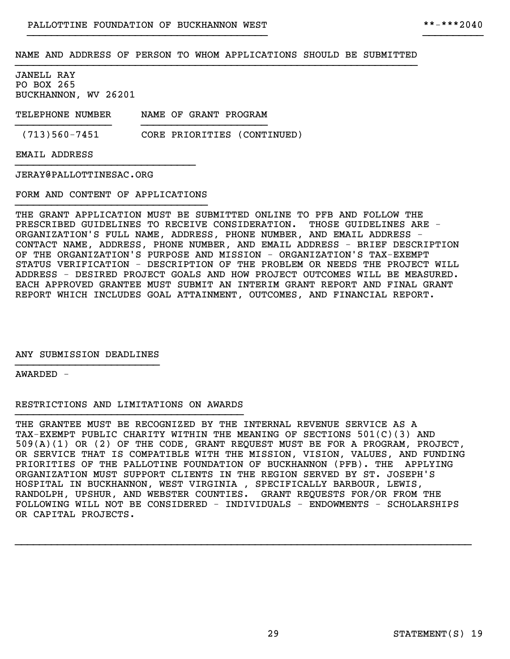}}}}}}}}}}}}}}}}}}}}}}}}}}}}}}}}}}}}}}}} }}}}}}}}}}

JANELL RAY PO BOX 265 BUCKHANNON, WV 26201

TELEPHONE NUMBER NAME OF GRANT PROGRAM }}}}}}}}}}}}}}}} }}}}}}}}}}}}}}}}}}}}}

(713)560-7451 CORE PRIORITIES (CONTINUED)

EMAIL ADDRESS

JERAY@PALLOTTINESAC.ORG

FORM AND CONTENT OF APPLICATIONS }}}}}}}}}}}}}}}}}}}}}}}}}}}}}}}}

}}}}}}}}}}}}}}}}}}}}}}}}}}}}}}

THE GRANT APPLICATION MUST BE SUBMITTED ONLINE TO PFB AND FOLLOW THE PRESCRIBED GUIDELINES TO RECEIVE CONSIDERATION. THOSE GUIDELINES ARE - ORGANIZATION'S FULL NAME, ADDRESS, PHONE NUMBER, AND EMAIL ADDRESS - CONTACT NAME, ADDRESS, PHONE NUMBER, AND EMAIL ADDRESS - BRIEF DESCRIPTION OF THE ORGANIZATION'S PURPOSE AND MISSION - ORGANIZATION'S TAX-EXEMPT STATUS VERIFICATION - DESCRIPTION OF THE PROBLEM OR NEEDS THE PROJECT WILL ADDRESS - DESIRED PROJECT GOALS AND HOW PROJECT OUTCOMES WILL BE MEASURED. EACH APPROVED GRANTEE MUST SUBMIT AN INTERIM GRANT REPORT AND FINAL GRANT REPORT WHICH INCLUDES GOAL ATTAINMENT, OUTCOMES, AND FINANCIAL REPORT.

ANY SUBMISSION DEADLINES }}}}}}}}}}}}}}}}}}}}}}}}

AWARDED -

RESTRICTIONS AND LIMITATIONS ON AWARDS }}}}}}}}}}}}}}}}}}}}}}}}}}}}}}}}}}}}}}

THE GRANTEE MUST BE RECOGNIZED BY THE INTERNAL REVENUE SERVICE AS A TAX-EXEMPT PUBLIC CHARITY WITHIN THE MEANING OF SECTIONS 501(C)(3) AND 509(A)(1) OR (2) OF THE CODE, GRANT REQUEST MUST BE FOR A PROGRAM, PROJECT, OR SERVICE THAT IS COMPATIBLE WITH THE MISSION, VISION, VALUES, AND FUNDING PRIORITIES OF THE PALLOTINE FOUNDATION OF BUCKHANNON (PFB). THE APPLYING ORGANIZATION MUST SUPPORT CLIENTS IN THE REGION SERVED BY ST. JOSEPH'S HOSPITAL IN BUCKHANNON, WEST VIRGINIA , SPECIFICALLY BARBOUR, LEWIS, RANDOLPH, UPSHUR, AND WEBSTER COUNTIES. GRANT REQUESTS FOR/OR FROM THE FOLLOWING WILL NOT BE CONSIDERED - INDIVIDUALS - ENDOWMENTS - SCHOLARSHIPS OR CAPITAL PROJECTS.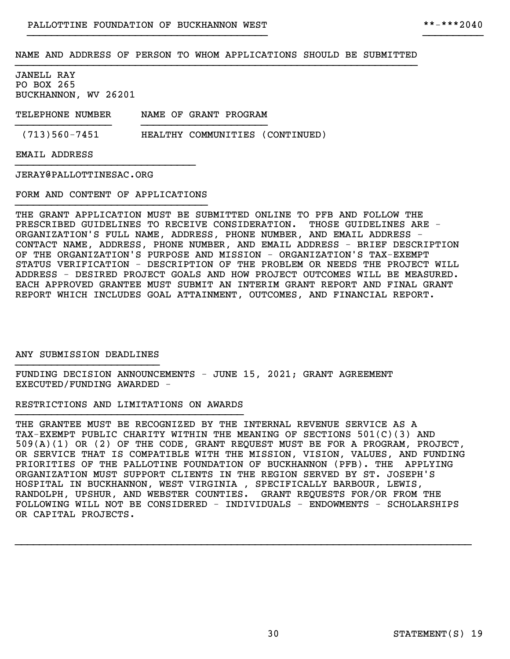}}}}}}}}}}}}}}}}}}}}}}}}}}}}}}}}}}}}}}}} }}}}}}}}}}

JANELL RAY PO BOX 265 BUCKHANNON, WV 26201

TELEPHONE NUMBER NAME OF GRANT PROGRAM }}}}}}}}}}}}}}}} }}}}}}}}}}}}}}}}}}}}}

(713)560-7451 HEALTHY COMMUNITIES (CONTINUED)

EMAIL ADDRESS

JERAY@PALLOTTINESAC.ORG

FORM AND CONTENT OF APPLICATIONS }}}}}}}}}}}}}}}}}}}}}}}}}}}}}}}}

}}}}}}}}}}}}}}}}}}}}}}}}}}}}}}

THE GRANT APPLICATION MUST BE SUBMITTED ONLINE TO PFB AND FOLLOW THE PRESCRIBED GUIDELINES TO RECEIVE CONSIDERATION. THOSE GUIDELINES ARE - ORGANIZATION'S FULL NAME, ADDRESS, PHONE NUMBER, AND EMAIL ADDRESS - CONTACT NAME, ADDRESS, PHONE NUMBER, AND EMAIL ADDRESS - BRIEF DESCRIPTION OF THE ORGANIZATION'S PURPOSE AND MISSION - ORGANIZATION'S TAX-EXEMPT STATUS VERIFICATION - DESCRIPTION OF THE PROBLEM OR NEEDS THE PROJECT WILL ADDRESS - DESIRED PROJECT GOALS AND HOW PROJECT OUTCOMES WILL BE MEASURED. EACH APPROVED GRANTEE MUST SUBMIT AN INTERIM GRANT REPORT AND FINAL GRANT REPORT WHICH INCLUDES GOAL ATTAINMENT, OUTCOMES, AND FINANCIAL REPORT.

ANY SUBMISSION DEADLINES }}}}}}}}}}}}}}}}}}}}}}}}

FUNDING DECISION ANNOUNCEMENTS - JUNE 15, 2021; GRANT AGREEMENT EXECUTED/FUNDING AWARDED -

RESTRICTIONS AND LIMITATIONS ON AWARDS }}}}}}}}}}}}}}}}}}}}}}}}}}}}}}}}}}}}}}

THE GRANTEE MUST BE RECOGNIZED BY THE INTERNAL REVENUE SERVICE AS A TAX-EXEMPT PUBLIC CHARITY WITHIN THE MEANING OF SECTIONS 501(C)(3) AND 509(A)(1) OR (2) OF THE CODE, GRANT REQUEST MUST BE FOR A PROGRAM, PROJECT, OR SERVICE THAT IS COMPATIBLE WITH THE MISSION, VISION, VALUES, AND FUNDING PRIORITIES OF THE PALLOTINE FOUNDATION OF BUCKHANNON (PFB). THE APPLYING ORGANIZATION MUST SUPPORT CLIENTS IN THE REGION SERVED BY ST. JOSEPH'S HOSPITAL IN BUCKHANNON, WEST VIRGINIA , SPECIFICALLY BARBOUR, LEWIS, RANDOLPH, UPSHUR, AND WEBSTER COUNTIES. GRANT REQUESTS FOR/OR FROM THE FOLLOWING WILL NOT BE CONSIDERED - INDIVIDUALS - ENDOWMENTS - SCHOLARSHIPS OR CAPITAL PROJECTS.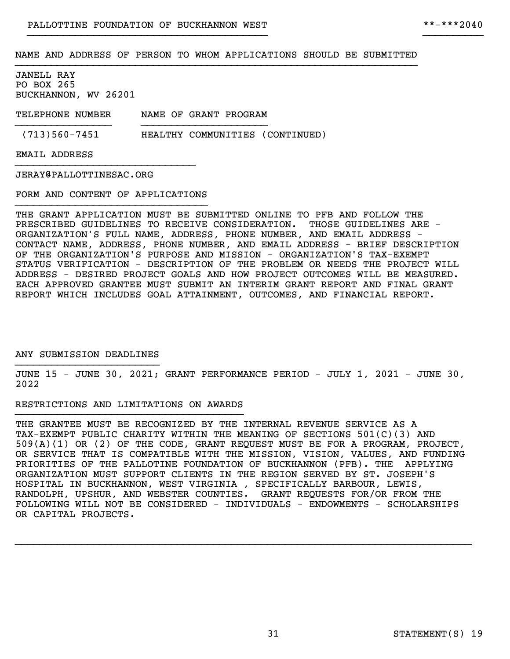}}}}}}}}}}}}}}}}}}}}}}}}}}}}}}}}}}}}}}}} }}}}}}}}}}

JANELL RAY PO BOX 265 BUCKHANNON, WV 26201

TELEPHONE NUMBER NAME OF GRANT PROGRAM }}}}}}}}}}}}}}}} }}}}}}}}}}}}}}}}}}}}}

(713)560-7451 HEALTHY COMMUNITIES (CONTINUED)

EMAIL ADDRESS

JERAY@PALLOTTINESAC.ORG

FORM AND CONTENT OF APPLICATIONS }}}}}}}}}}}}}}}}}}}}}}}}}}}}}}}}

}}}}}}}}}}}}}}}}}}}}}}}}}}}}}}

THE GRANT APPLICATION MUST BE SUBMITTED ONLINE TO PFB AND FOLLOW THE PRESCRIBED GUIDELINES TO RECEIVE CONSIDERATION. THOSE GUIDELINES ARE - ORGANIZATION'S FULL NAME, ADDRESS, PHONE NUMBER, AND EMAIL ADDRESS - CONTACT NAME, ADDRESS, PHONE NUMBER, AND EMAIL ADDRESS - BRIEF DESCRIPTION OF THE ORGANIZATION'S PURPOSE AND MISSION - ORGANIZATION'S TAX-EXEMPT STATUS VERIFICATION - DESCRIPTION OF THE PROBLEM OR NEEDS THE PROJECT WILL ADDRESS - DESIRED PROJECT GOALS AND HOW PROJECT OUTCOMES WILL BE MEASURED. EACH APPROVED GRANTEE MUST SUBMIT AN INTERIM GRANT REPORT AND FINAL GRANT REPORT WHICH INCLUDES GOAL ATTAINMENT, OUTCOMES, AND FINANCIAL REPORT.

ANY SUBMISSION DEADLINES }}}}}}}}}}}}}}}}}}}}}}}}

JUNE 15 - JUNE 30, 2021; GRANT PERFORMANCE PERIOD - JULY 1, 2021 - JUNE 30, 2022

RESTRICTIONS AND LIMITATIONS ON AWARDS }}}}}}}}}}}}}}}}}}}}}}}}}}}}}}}}}}}}}}

THE GRANTEE MUST BE RECOGNIZED BY THE INTERNAL REVENUE SERVICE AS A TAX-EXEMPT PUBLIC CHARITY WITHIN THE MEANING OF SECTIONS 501(C)(3) AND 509(A)(1) OR (2) OF THE CODE, GRANT REQUEST MUST BE FOR A PROGRAM, PROJECT, OR SERVICE THAT IS COMPATIBLE WITH THE MISSION, VISION, VALUES, AND FUNDING PRIORITIES OF THE PALLOTINE FOUNDATION OF BUCKHANNON (PFB). THE APPLYING ORGANIZATION MUST SUPPORT CLIENTS IN THE REGION SERVED BY ST. JOSEPH'S HOSPITAL IN BUCKHANNON, WEST VIRGINIA , SPECIFICALLY BARBOUR, LEWIS, RANDOLPH, UPSHUR, AND WEBSTER COUNTIES. GRANT REQUESTS FOR/OR FROM THE FOLLOWING WILL NOT BE CONSIDERED - INDIVIDUALS - ENDOWMENTS - SCHOLARSHIPS OR CAPITAL PROJECTS.